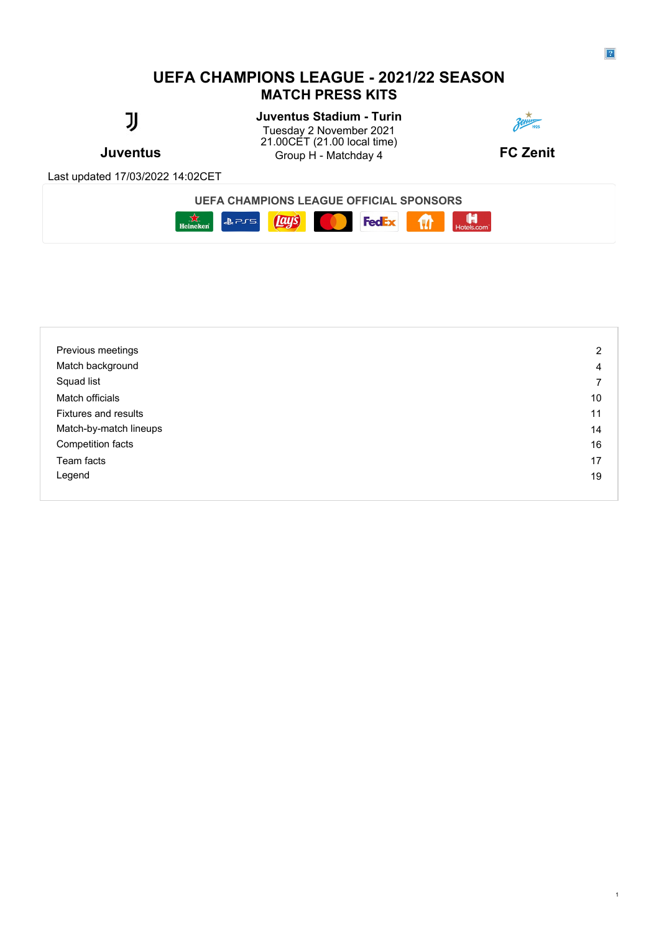# **UEFA CHAMPIONS LEAGUE - 2021/22 SEASON MATCH PRESS KITS**

# IJ

# **Juventus Stadium - Turin**

**Juventus Example 3** Group H - Matchday 4 **FC Zenit** Tuesday 2 November 2021 21.00CET (21.00 local time)



Last updated 17/03/2022 14:02CET

**UEFA CHAMPIONS LEAGUE OFFICIAL SPONSORS**



| Previous meetings           | 2  |
|-----------------------------|----|
| Match background            | 4  |
| Squad list                  |    |
| Match officials             | 10 |
| <b>Fixtures and results</b> | 11 |
| Match-by-match lineups      | 14 |
| Competition facts           | 16 |
| Team facts                  | 17 |
| Legend                      | 19 |
|                             |    |

1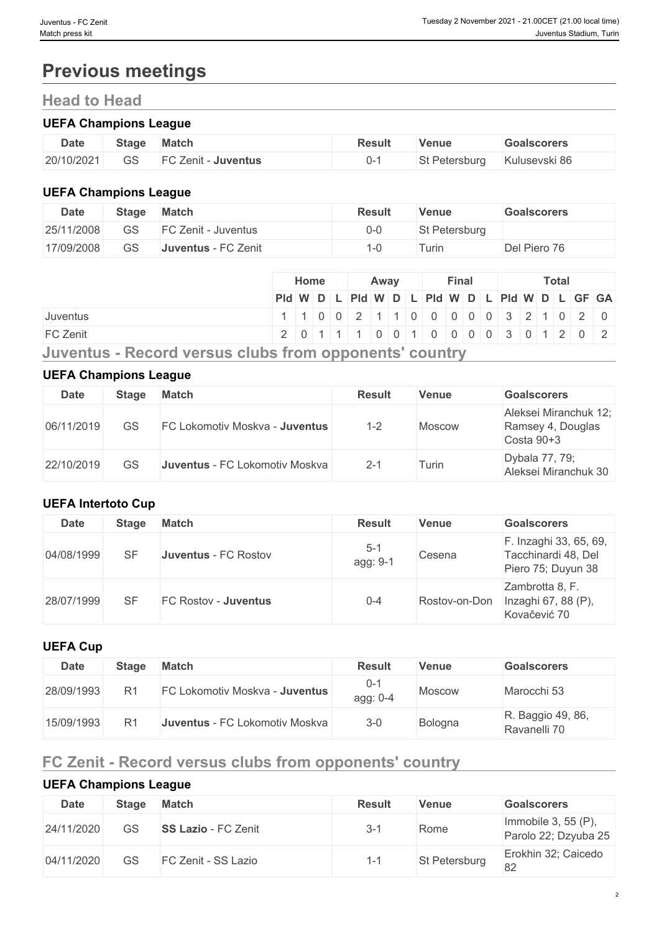# **Previous meetings**

# **Head to Head**

#### **UEFA Champions League**

| <b>Date</b> | Stage    | <b>Match</b>                   | Result | Venue      | <b>Goalscorers</b> |
|-------------|----------|--------------------------------|--------|------------|--------------------|
| 20/10/2021  | ⌒⌒<br>جە | EΩ<br>Zenit<br><b>Juventus</b> |        | Petersburg | Kulusevski 86      |

### **UEFA Champions League**

| <b>Date</b> | <b>Stage</b> | <b>Match</b>        | <b>Result</b> | Venue         | Goalscorers  |
|-------------|--------------|---------------------|---------------|---------------|--------------|
| 25/11/2008  | GS           | FC Zenit - Juventus | 0-0           | St Petersburg |              |
| 17/09/2008  | GS           | Juventus - FC Zenit | '−∪           | Turin         | Del Piero 76 |

|                                                        | Home<br>Away |  |  | Final |  |  | <b>Total</b> |  |  |  |  |                                               |  |
|--------------------------------------------------------|--------------|--|--|-------|--|--|--------------|--|--|--|--|-----------------------------------------------|--|
|                                                        |              |  |  |       |  |  |              |  |  |  |  | Pid W D L Pid W D L Pid W D L Pid W D L GF GA |  |
| <b>Juventus</b>                                        |              |  |  |       |  |  |              |  |  |  |  | 1 1 0 0 2 1 1 0 0 0 0 0 0 3 2 1 0 2 0         |  |
| <b>FC Zenit</b>                                        |              |  |  |       |  |  |              |  |  |  |  | 2 0 1 1 1 0 0 1 0 0 0 0 0 0 1 2 0 2           |  |
| Juventus - Record versus clubs from opponents' country |              |  |  |       |  |  |              |  |  |  |  |                                               |  |

#### **UEFA Champions League**

| Date       | <b>Stage</b> | <b>Match</b>                          | <b>Result</b> | Venue  | <b>Goalscorers</b>                                       |
|------------|--------------|---------------------------------------|---------------|--------|----------------------------------------------------------|
| 06/11/2019 | GS           | <b>FC Lokomotiv Moskva - Juventus</b> | $1 - 2$       | Moscow | Aleksei Miranchuk 12;<br>Ramsey 4, Douglas<br>Costa 90+3 |
| 22/10/2019 | GS           | Juventus - FC Lokomotiv Moskva        | $2 - 1$       | Turin  | Dybala 77, 79;<br>Aleksei Miranchuk 30                   |

### **UEFA Intertoto Cup**

| <b>Date</b> | <b>Stage</b> | <b>Match</b>         | <b>Result</b>       | <b>Venue</b>  | <b>Goalscorers</b>                                                  |
|-------------|--------------|----------------------|---------------------|---------------|---------------------------------------------------------------------|
| 04/08/1999  | SF           | Juventus - FC Rostov | $5 - 1$<br>agg: 9-1 | Cesena        | F. Inzaghi 33, 65, 69,<br>Tacchinardi 48, Del<br>Piero 75; Duyun 38 |
| 28/07/1999  | SF           | FC Rostov - Juventus | $0 - 4$             | Rostov-on-Don | Zambrotta 8, F.<br>Inzaghi 67, 88 (P),<br>Kovačević 70              |

#### **UEFA Cup**

| Date       | <b>Stage</b> | <b>Match</b>                   | <b>Result</b>       | <b>Venue</b>  | <b>Goalscorers</b>                |
|------------|--------------|--------------------------------|---------------------|---------------|-----------------------------------|
| 28/09/1993 | R1           | FC Lokomotiv Moskva - Juventus | $0 - 1$<br>agg: 0-4 | <b>Moscow</b> | Marocchi 53                       |
| 15/09/1993 | R1           | Juventus - FC Lokomotiv Moskva | $3 - 0$             | Bologna       | R. Baggio 49, 86,<br>Ravanelli 70 |

# **FC Zenit - Record versus clubs from opponents' country**

# **UEFA Champions League**

| <b>Date</b> | <b>Stage</b> | <b>Match</b>               | <b>Result</b> | Venue         | <b>Goalscorers</b>                             |
|-------------|--------------|----------------------------|---------------|---------------|------------------------------------------------|
| 24/11/2020  | GS           | <b>SS Lazio - FC Zenit</b> | $3 - 1$       | Rome          | Immobile 3, 55 $(P)$ ,<br>Parolo 22; Dzyuba 25 |
| 04/11/2020  | GS           | FC Zenit - SS Lazio        | 1-1           | St Petersburg | Erokhin 32; Caicedo<br>82                      |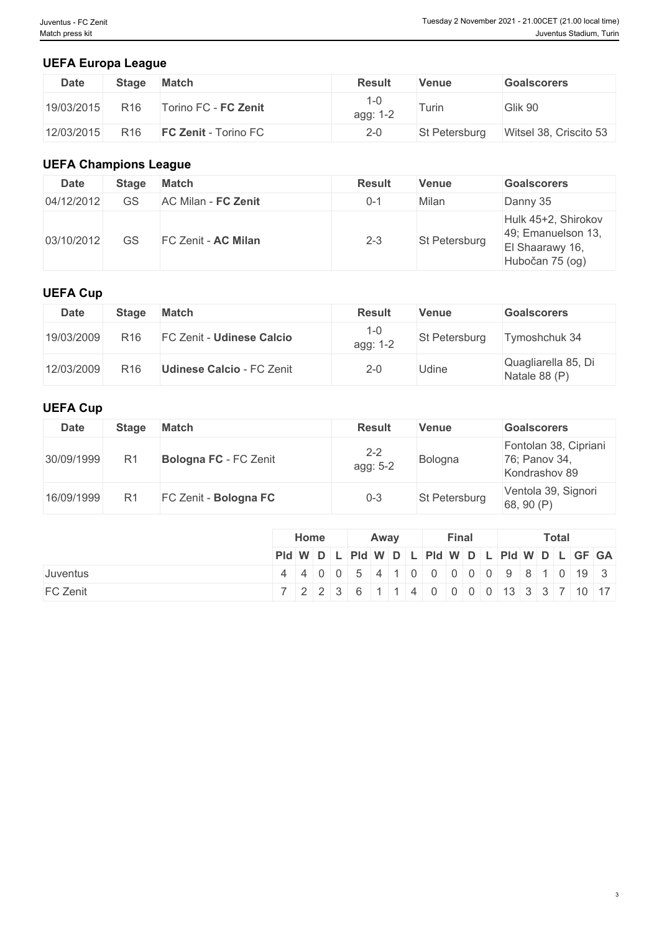3

### **UEFA Europa League**

| <b>Date</b> | <b>Stage</b>    | <b>Match</b>                | <b>Result</b> | Venue         | <b>Goalscorers</b>     |
|-------------|-----------------|-----------------------------|---------------|---------------|------------------------|
| 19/03/2015  | R <sub>16</sub> | Torino FC - FC Zenit        | agg: 1-2      | Turin         | Glik 90                |
| 12/03/2015  | R <sub>16</sub> | <b>FC Zenit - Torino FC</b> | $2 - 0$       | St Petersburg | Witsel 38, Criscito 53 |

### **UEFA Champions League**

| <b>Date</b> | <b>Stage</b> | <b>Match</b>        | <b>Result</b> | <b>Venue</b>  | <b>Goalscorers</b>                                                              |
|-------------|--------------|---------------------|---------------|---------------|---------------------------------------------------------------------------------|
| 04/12/2012  | GS           | AC Milan - FC Zenit | $0 - 1$       | Milan         | Danny 35                                                                        |
| 03/10/2012  | GS           | FC Zenit - AC Milan | $2 - 3$       | St Petersburg | Hulk 45+2, Shirokov<br>49; Emanuelson 13,<br>El Shaarawy 16,<br>Hubočan 75 (og) |

### **UEFA Cup**

| Date       | <b>Stage</b>    | <b>Match</b>                     | <b>Result</b>       | <b>Venue</b>  | <b>Goalscorers</b>                   |
|------------|-----------------|----------------------------------|---------------------|---------------|--------------------------------------|
| 19/03/2009 | R <sub>16</sub> | <b>FC Zenit - Udinese Calcio</b> | $1 - 0$<br>agg: 1-2 | St Petersburg | Tymoshchuk 34                        |
| 12/03/2009 | R <sub>16</sub> | <b>Udinese Calcio - FC Zenit</b> | $2 - 0$             | Udine         | Quagliarella 85, Di<br>Natale 88 (P) |

### **UEFA Cup**

| Date       | <b>Stage</b> | <b>Match</b>                 | <b>Result</b>       | <b>Venue</b>  | <b>Goalscorers</b>                                      |
|------------|--------------|------------------------------|---------------------|---------------|---------------------------------------------------------|
| 30/09/1999 |              | <b>Bologna FC</b> - FC Zenit | $2 - 2$<br>agg: 5-2 | Bologna       | Fontolan 38, Cipriani<br>76; Panov 34,<br>Kondrashov 89 |
| 16/09/1999 |              | FC Zenit - Bologna FC        | 0-3                 | St Petersburg | Ventola 39, Signori<br>68, 90 $(P)$                     |

|                 | Home | Away | Final | Total                                                                    |  |  |  |  |
|-----------------|------|------|-------|--------------------------------------------------------------------------|--|--|--|--|
|                 |      |      |       | Pid W D L Pid W D L Pid W D L Pid W D L GF GA                            |  |  |  |  |
| <b>Juventus</b> |      |      |       | 4 4 0 0 5 4 1 0 0 0 0 0 9 8 1 0 19 3                                     |  |  |  |  |
| FC Zenit        |      |      |       | 7   2   2   3   6   1   1   4   0   0   0   0   13   3   3   7   10   17 |  |  |  |  |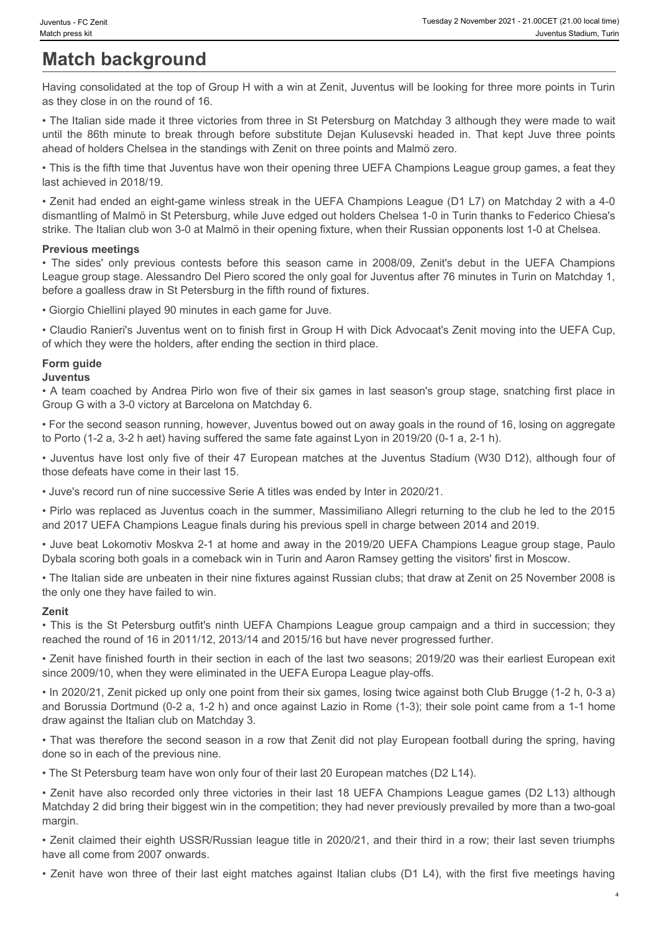# **Match background**

Having consolidated at the top of Group H with a win at Zenit, Juventus will be looking for three more points in Turin as they close in on the round of 16.

• The Italian side made it three victories from three in St Petersburg on Matchday 3 although they were made to wait unentus - Fc Zent<br>
Match minute to Background<br>
Match minute a station, Turn<br>
Having consolidated at the top of Group H with a win at Zenit, Juventus will be looking for three more points in Turin<br>
as they dose in on the ro ahead of holders Chelsea in the standings with Zenit on three points and Malmö zero.

• This is the fifth time that Juventus have won their opening three UEFA Champions League group games, a feat they last achieved in 2018/19.

• Zenit had ended an eight-game winless streak in the UEFA Champions League (D1 L7) on Matchday 2 with a 4-0 dismantling of Malmö in St Petersburg, while Juve edged out holders Chelsea 1-0 in Turin thanks to Federico Chiesa's strike. The Italian club won 3-0 at Malmö in their opening fixture, when their Russian opponents lost 1-0 at Chelsea.

#### **Previous meetings**

**Freedox 2 November 2021: 21:00CFT (21:00 load lime)**<br> **The sides) possistical and the side of GCOUP H with a win at Zenit, Juventus will be looking for three more points in Turin<br>
Having consolidated at the top of Gcoup H** League group stage. Alessandro Del Piero scored the only goal for Juventus after 76 minutes in Turin on Matchday 1, before a goalless draw in St Petersburg in the fifth round of fixtures.

• Giorgio Chiellini played 90 minutes in each game for Juve.

• Claudio Ranieri's Juventus went on to finish first in Group H with Dick Advocaat's Zenit moving into the UEFA Cup, of which they were the holders, after ending the section in third place.

# **Form guide**

#### **Juventus**

• A team coached by Andrea Pirlo won five of their six games in last season's group stage, snatching first place in Group G with a 3-0 victory at Barcelona on Matchday 6.

• For the second season running, however, Juventus bowed out on away goals in the round of 16, losing on aggregate to Porto (1-2 a, 3-2 h aet) having suffered the same fate against Lyon in 2019/20 (0-1 a, 2-1 h).

• Juventus have lost only five of their 47 European matches at the Juventus Stadium (W30 D12), although four of those defeats have come in their last 15.

• Juve's record run of nine successive Serie A titles was ended by Inter in 2020/21.

• Pirlo was replaced as Juventus coach in the summer, Massimiliano Allegri returning to the club he led to the 2015 and 2017 UEFA Champions League finals during his previous spell in charge between 2014 and 2019.

• Juve beat Lokomotiv Moskva 2-1 at home and away in the 2019/20 UEFA Champions League group stage, Paulo Dybala scoring both goals in a comeback win in Turin and Aaron Ramsey getting the visitors' first in Moscow.

• The Italian side are unbeaten in their nine fixtures against Russian clubs; that draw at Zenit on 25 November 2008 is the only one they have failed to win.

#### **Zenit**

• This is the St Petersburg outfit's ninth UEFA Champions League group campaign and a third in succession; they reached the round of 16 in 2011/12, 2013/14 and 2015/16 but have never progressed further.

• Zenit have finished fourth in their section in each of the last two seasons; 2019/20 was their earliest European exit since 2009/10, when they were eliminated in the UEFA Europa League play-offs.

• In 2020/21, Zenit picked up only one point from their six games, losing twice against both Club Brugge (1-2 h, 0-3 a) and Borussia Dortmund (0-2 a, 1-2 h) and once against Lazio in Rome (1-3); their sole point came from a 1-1 home draw against the Italian club on Matchday 3.

• That was therefore the second season in a row that Zenit did not play European football during the spring, having done so in each of the previous nine.

• The St Petersburg team have won only four of their last 20 European matches (D2 L14).

• Zenit have also recorded only three victories in their last 18 UEFA Champions League games (D2 L13) although Matchday 2 did bring their biggest win in the competition; they had never previously prevailed by more than a two-goal margin.

• Zenit claimed their eighth USSR/Russian league title in 2020/21, and their third in a row; their last seven triumphs have all come from 2007 onwards.

• Zenit have won three of their last eight matches against Italian clubs (D1 L4), with the first five meetings having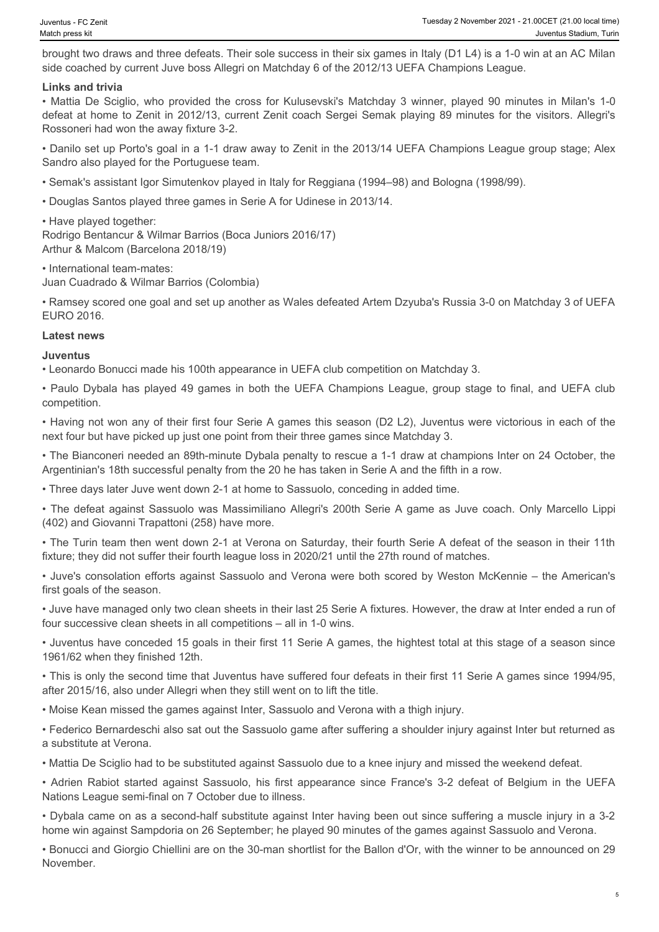brought two draws and three defeats. Their sole success in their six games in Italy (D1 L4) is a 1-0 win at an AC Milan side coached by current Juve boss Allegri on Matchday 6 of the 2012/13 UEFA Champions League.

#### **Links and trivia**

From Match press kit and three defeats. Their sole success in their six games in Italy (D1 L4) is a 1-0 win at an AC Milan side coached by current Juve boss Allegri on Matchday 6 of the 2012/13 UEFA Champions League.<br>
Link defeat at home to Zenit in 2012/13, current Zenit coach Sergei Semak playing 89 minutes for the visitors. Allegri's Rossoneri had won the away fixture 3-2. • Paulo Dybala has played 49 games in their sixty games in their sixty games in the properties access throw a solution of the Dybala has and the UEFA Champions League, The United Society of the 2012/13 UEFA Champions Leagu • The defeat against Same Communic Against Sassuolo was Massimiliano Theoretical Communication and the defeated by consistent and the defeated was Massimiliano Communication Communication Communication Communication and th

• Danilo set up Porto's goal in a 1-1 draw away to Zenit in the 2013/14 UEFA Champions League group stage; Alex Sandro also played for the Portuguese team.

• Semak's assistant Igor Simutenkov played in Italy for Reggiana (1994–98) and Bologna (1998/99).

• Douglas Santos played three games in Serie A for Udinese in 2013/14.

• Have played together:

Rodrigo Bentancur & Wilmar Barrios (Boca Juniors 2016/17) Arthur & Malcom (Barcelona 2018/19)

• International team-mates:

Juan Cuadrado & Wilmar Barrios (Colombia)

• Ramsey scored one goal and set up another as Wales defeated Artem Dzyuba's Russia 3-0 on Matchday 3 of UEFA EURO 2016. Arthur & Material Racesonian 2016/19)<br>Arthur & Material Rassumentians:<br>Literational a & William Site (Columbia)<br>Literations of Columbia 3, William Site (Up another as Walles of dested Arten Dayuba's Russia 3-0 on Matchasy

#### **Latest news**

**Juventus**

• Leonardo Bonucci made his 100th appearance in UEFA club competition on Matchday 3.

competition.

• Having not won any of their first four Serie A games this season (D2 L2), Juventus were victorious in each of the next four but have picked up just one point from their three games since Matchday 3.

• The Bianconeri needed an 89th-minute Dybala penalty to rescue a 1-1 draw at champions Inter on 24 October, the Argentinian's 18th successful penalty from the 20 he has taken in Serie A and the fifth in a row.

• Three days later Juve went down 2-1 at home to Sassuolo, conceding in added time.

(402) and Giovanni Trapattoni (258) have more.

• The Turin team then went down 2-1 at Verona on Saturday, their fourth Serie A defeat of the season in their 11th fixture; they did not suffer their fourth league loss in 2020/21 until the 27th round of matches.

• Juve's consolation efforts against Sassuolo and Verona were both scored by Weston McKennie – the American's first goals of the season.

• Juve have managed only two clean sheets in their last 25 Serie A fixtures. However, the draw at Inter ended a run of four successive clean sheets in all competitions – all in 1-0 wins.

• Juventus have conceded 15 goals in their first 11 Serie A games, the hightest total at this stage of a season since 1961/62 when they finished 12th.

• This is only the second time that Juventus have suffered four defeats in their first 11 Serie A games since 1994/95, after 2015/16, also under Allegri when they still went on to lift the title.

• Moise Kean missed the games against Inter, Sassuolo and Verona with a thigh injury.

• Federico Bernardeschi also sat out the Sassuolo game after suffering a shoulder injury against Inter but returned as a substitute at Verona.

• Mattia De Sciglio had to be substituted against Sassuolo due to a knee injury and missed the weekend defeat.

Nations League semi-final on 7 October due to illness.

• Dybala came on as a second-half substitute against Inter having been out since suffering a muscle injury in a 3-2 home win against Sampdoria on 26 September; he played 90 minutes of the games against Sassuolo and Verona.

• Bonucci and Giorgio Chiellini are on the 30-man shortlist for the Ballon d'Or, with the winner to be announced on 29 November.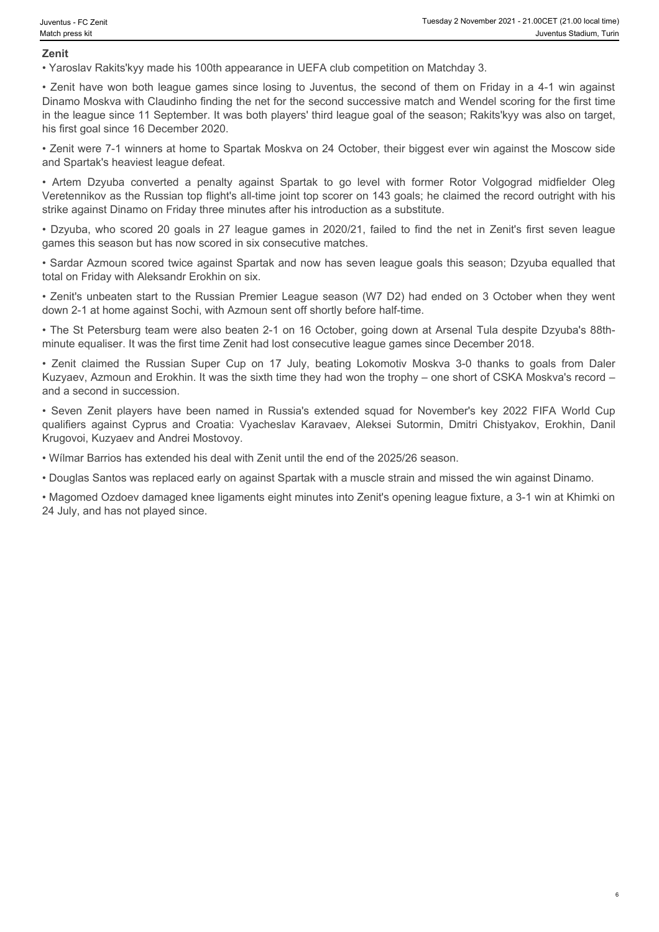6

#### **Zenit**

• Yaroslav Rakits'kyy made his 100th appearance in UEFA club competition on Matchday 3.

• Zenit have won both league games since losing to Juventus, the second of them on Friday in a 4-1 win against Dinamo Moskva with Claudinho finding the net for the second successive match and Wendel scoring for the first time in the league since 11 September. It was both players' third league goal of the season; Rakits'kyy was also on target, his first goal since 16 December 2020. For Converting - FC Zent<br>
• Tuesday 2 November 2021 - 21.00CET (21.00 local trime)<br>
• Yarotslav Rakitis Kyyy made his 100th appearance in UEFA club competition on Matchday 3.<br>
• Zenit have won both league games since lo Franchine TCZEst Translay 2 November 2021 - 21 000CFT (21.00 bcsores)<br> **Examples 20**<br> **Examples 20**<br> **Examples 20**<br> **Examples 20 goals 100th appearance in UEFA club competition on Matchday 3.**<br>
<br> **Example 20 goals in 27 le** • Zenith Mallal on Frides with Substitute in the Russian Super Cup on 17 July, beating the Russian Super Cup on 17 Variation of Careful Competition on Matchday 3.<br>
• Yaroslav Rakits'kyy made his 100th appearance in UEFA du • The other are zenit and the state Armour and Enforce in UEFA club competition on Matchday 3.<br>• Yandsia Rakitsivyy made his 100th appearance in UEFA club competition on Matchday 3.<br>• Yandsia Rakitsivyy made his 100th appe The state of the state of the state of the state of the state of the state of the state of the state of the state of the state of the state of the state of the state of the state of Croatical Karavaev, The Yandis Chisten T

• Zenit were 7-1 winners at home to Spartak Moskva on 24 October, their biggest ever win against the Moscow side and Spartak's heaviest league defeat.

Veretennikov as the Russian top flight's all-time joint top scorer on 143 goals; he claimed the record outright with his strike against Dinamo on Friday three minutes after his introduction as a substitute.

games this season but has now scored in six consecutive matches.

• Sardar Azmoun scored twice against Spartak and now has seven league goals this season; Dzyuba equalled that total on Friday with Aleksandr Erokhin on six.

• Zenit's unbeaten start to the Russian Premier League season (W7 D2) had ended on 3 October when they went down 2-1 at home against Sochi, with Azmoun sent off shortly before half-time.

• The St Petersburg team were also beaten 2-1 on 16 October, going down at Arsenal Tula despite Dzyuba's 88thminute equaliser. It was the first time Zenit had lost consecutive league games since December 2018.

Kuzyaev, Azmoun and Erokhin. It was the sixth time they had won the trophy – one short of CSKA Moskva's record – and a second in succession.

Krugovoi, Kuzyaev and Andrei Mostovoy.

• Wílmar Barrios has extended his deal with Zenit until the end of the 2025/26 season.

• Douglas Santos was replaced early on against Spartak with a muscle strain and missed the win against Dinamo.

• Magomed Ozdoev damaged knee ligaments eight minutes into Zenit's opening league fixture, a 3-1 win at Khimki on 24 July, and has not played since.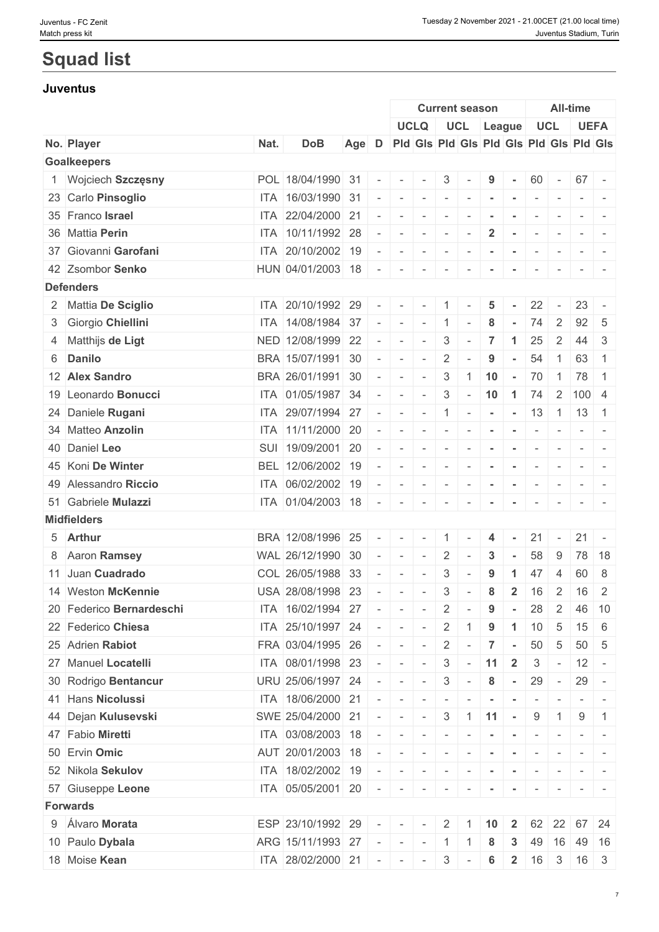# **Squad list**

#### **Juventus**

|                          |      |                   |                          |                                               | <b>Current season</b>    |                                       |                           |                          |                          |                          |                          | <b>All-time</b>              |                                                                                                                                                                                                                                                                                                                                                                                                                                                                                           |
|--------------------------|------|-------------------|--------------------------|-----------------------------------------------|--------------------------|---------------------------------------|---------------------------|--------------------------|--------------------------|--------------------------|--------------------------|------------------------------|-------------------------------------------------------------------------------------------------------------------------------------------------------------------------------------------------------------------------------------------------------------------------------------------------------------------------------------------------------------------------------------------------------------------------------------------------------------------------------------------|
|                          |      |                   |                          | <b>UCLQ</b>                                   |                          |                                       |                           |                          | UCL League               |                          | <b>UCL</b>               |                              | <b>UEFA</b>                                                                                                                                                                                                                                                                                                                                                                                                                                                                               |
| No. Player               | Nat. | <b>DoB</b>        |                          | Age D Pid Gis Pid Gis Pid Gis Pid Gis Pid Gis |                          |                                       |                           |                          |                          |                          |                          |                              |                                                                                                                                                                                                                                                                                                                                                                                                                                                                                           |
| <b>Goalkeepers</b>       |      |                   |                          |                                               |                          |                                       |                           |                          |                          |                          |                          |                              |                                                                                                                                                                                                                                                                                                                                                                                                                                                                                           |
| 1 Wojciech Szczęsny      |      | POL 18/04/1990 31 | $\overline{\phantom{a}}$ | $\sim$                                        | $\overline{\phantom{a}}$ | $\mathbf{3}$                          |                           | 9                        | $\sim$                   | 60                       | $\sim$ $ \sim$           | $67 -$                       |                                                                                                                                                                                                                                                                                                                                                                                                                                                                                           |
| 23 Carlo Pinsoglio       |      | ITA 16/03/1990 31 |                          | $\sim$                                        | $\sim$                   | $\sim$                                | $\sim$                    |                          |                          | $\overline{\phantom{a}}$ | $\overline{\phantom{a}}$ |                              |                                                                                                                                                                                                                                                                                                                                                                                                                                                                                           |
| 35 Franco Israel         |      | ITA 22/04/2000 21 |                          | $\overline{\phantom{a}}$                      | $\sim$                   | $\overline{\phantom{a}}$              |                           |                          |                          |                          |                          |                              |                                                                                                                                                                                                                                                                                                                                                                                                                                                                                           |
| 36 Mattia Perin          |      | ITA 10/11/1992 28 |                          | $\sim$                                        | $\sim$                   | $\vert \cdot \vert$                   | $\sim$                    | $\overline{2}$           | $\sim$                   | $\overline{\phantom{a}}$ | $\overline{\phantom{a}}$ | $ -$                         |                                                                                                                                                                                                                                                                                                                                                                                                                                                                                           |
| 37 Giovanni Garofani     |      | ITA 20/10/2002 19 |                          |                                               | $\overline{\phantom{a}}$ | $\sim$                                | $\sim$                    |                          | $\sim$                   | $\overline{\phantom{a}}$ |                          |                              | $\sim$                                                                                                                                                                                                                                                                                                                                                                                                                                                                                    |
| 42 Zsombor Senko         |      | HUN 04/01/2003 18 |                          | $\sim$                                        | $\sim$                   | $\sim$                                |                           |                          |                          | $\overline{\phantom{a}}$ | $\overline{\phantom{a}}$ | $ -$                         |                                                                                                                                                                                                                                                                                                                                                                                                                                                                                           |
| <b>Defenders</b>         |      |                   |                          |                                               |                          |                                       |                           |                          |                          |                          |                          |                              |                                                                                                                                                                                                                                                                                                                                                                                                                                                                                           |
| 2 Mattia De Sciglio      |      | ITA 20/10/1992 29 | $\sim$                   | $\sim$                                        | $\sim$                   | $\overline{1}$                        | $\overline{\phantom{a}}$  | $\overline{\mathbf{5}}$  | $\sim$                   | 22                       | $\sim$                   | 23                           | $\overline{\phantom{a}}$                                                                                                                                                                                                                                                                                                                                                                                                                                                                  |
| 3 Giorgio Chiellini      |      | ITA 14/08/1984 37 |                          | $-1$                                          | $\sim$                   | $\overline{1}$                        | $\overline{\phantom{a}}$  | 8                        | $\sim$                   | 74                       | $\overline{2}$           | $92 \mid 5$                  |                                                                                                                                                                                                                                                                                                                                                                                                                                                                                           |
| 4 Matthijs de Ligt       |      | NED 12/08/1999 22 |                          | $\sim$                                        | $\sim$                   | 3                                     | $\sim$                    | $\overline{7}$           | $\blacktriangleleft$     | 25                       | 2                        | 44                           | 3                                                                                                                                                                                                                                                                                                                                                                                                                                                                                         |
| 6 Danilo                 |      | BRA 15/07/1991 30 |                          | $\sim$                                        | $\sim$                   | $\overline{2}$                        | $\sim$                    | 9                        | $\sim$                   | 54                       | $\overline{1}$           | 63                           | $\overline{1}$                                                                                                                                                                                                                                                                                                                                                                                                                                                                            |
| 12 Alex Sandro           |      | BRA 26/01/1991 30 |                          | $\sim$                                        | $\sim$                   | $\mathbf{3}$                          | $\overline{1}$            | 10                       | $\sim$                   | 70                       | $\overline{1}$           | 78                           | $\overline{1}$                                                                                                                                                                                                                                                                                                                                                                                                                                                                            |
| 19 Leonardo Bonucci      |      | ITA 01/05/1987 34 | $\overline{\phantom{a}}$ | $\sim$                                        | $\sim$                   | $\mathbf{3}$                          | $\sim$                    | 10                       | $-1$                     | 74                       |                          | $2 \mid 100 \mid 4$          |                                                                                                                                                                                                                                                                                                                                                                                                                                                                                           |
| 24 Daniele Rugani        |      | ITA 29/07/1994 27 |                          | $\sim$                                        | $\mathbf{r}$             |                                       |                           |                          |                          |                          |                          | $ 1  -  -  - 13  1   13   1$ |                                                                                                                                                                                                                                                                                                                                                                                                                                                                                           |
| 34 Matteo Anzolin        |      | ITA 11/11/2000 20 |                          | $\overline{\phantom{a}}$                      | $\sim$                   | $\sim$                                | $\sim$                    |                          |                          | $\overline{\phantom{a}}$ | $\overline{\phantom{a}}$ |                              | $\begin{array}{c c c c c c} \hline \multicolumn{1}{c }{\multicolumn{1}{c }{\multicolumn{1}{c}}}{\multicolumn{1}{c}} & \multicolumn{1}{c }{\multicolumn{1}{c}}{\multicolumn{1}{c}}{\multicolumn{1}{c}}{\multicolumn{1}{c}}{\multicolumn{1}{c}}{\multicolumn{1}{c}}{\multicolumn{1}{c}}{\multicolumn{1}{c}}{\multicolumn{1}{c}}{\multicolumn{1}{c}}{\multicolumn{1}{c}}{\multicolumn{1}{c}}{\multicolumn{1}{c}}{\multicolumn{1}{c}}{\multicolumn{1}{c}}{\multicolumn{1}{c}}{\multicolumn{1$ |
| 40 Daniel Leo            |      | SUI 19/09/2001 20 |                          | $\sim$                                        | $\sim$                   | $\overline{\phantom{a}}$              | $\sim$                    | $\blacksquare$           | $\sim$                   |                          |                          |                              |                                                                                                                                                                                                                                                                                                                                                                                                                                                                                           |
| 45 Koni De Winter        |      | BEL 12/06/2002 19 |                          | $\sim$                                        | $\sim$                   | $\sim$                                | $\sim$                    | $\sim$                   | $\overline{\phantom{a}}$ | $\sim$                   | $\sim$                   | $ -$                         | $\sim$                                                                                                                                                                                                                                                                                                                                                                                                                                                                                    |
| 49 Alessandro Riccio     |      | ITA 06/02/2002 19 |                          | $\sim$                                        | $\sim$                   | $\mathbb{E}[\mathcal{F}^{\text{in}}]$ | $\sim$                    | $\overline{\phantom{a}}$ | $\sim$                   | $\sim$                   | $\sim$                   | $-1$                         | $\sim$                                                                                                                                                                                                                                                                                                                                                                                                                                                                                    |
| 51 Gabriele Mulazzi      |      | ITA 01/04/2003 18 |                          | $\overline{\phantom{a}}$                      |                          | $\overline{\phantom{a}}$              |                           |                          |                          |                          |                          |                              |                                                                                                                                                                                                                                                                                                                                                                                                                                                                                           |
| <b>Midfielders</b>       |      |                   |                          |                                               |                          |                                       |                           |                          |                          |                          |                          |                              |                                                                                                                                                                                                                                                                                                                                                                                                                                                                                           |
| 5 Arthur                 |      | BRA 12/08/1996 25 |                          |                                               | $\sim$                   | $\overline{1}$                        |                           | $\overline{4}$           |                          | 21                       | $\sim$ $ \sim$           | 21                           |                                                                                                                                                                                                                                                                                                                                                                                                                                                                                           |
| 8 Aaron Ramsey           |      | WAL 26/12/1990 30 |                          | $\sim$                                        | $\sim$                   | $\overline{2}$                        | $\sim$                    | 3                        | $\sim$                   | 58                       | 9                        |                              | 78 18                                                                                                                                                                                                                                                                                                                                                                                                                                                                                     |
| 11 Juan Cuadrado         |      | COL 26/05/1988 33 |                          | $\overline{\phantom{a}}$                      | $\overline{\phantom{a}}$ | 3                                     |                           | 9                        | -1                       | 47                       | 4                        | 60                           | 8                                                                                                                                                                                                                                                                                                                                                                                                                                                                                         |
| 14 Weston McKennie       |      | USA 28/08/1998 23 |                          | $\overline{\phantom{a}}$                      | $\sim$                   | $\mathbf{3}$                          | $\sim$                    | $\bf 8$                  | $\overline{2}$           | 16                       | 2                        | 16                           | 2                                                                                                                                                                                                                                                                                                                                                                                                                                                                                         |
|                          |      |                   |                          |                                               |                          |                                       |                           |                          |                          |                          |                          |                              |                                                                                                                                                                                                                                                                                                                                                                                                                                                                                           |
| 20 Federico Bernardeschi |      | ITA 16/02/1994 27 |                          | $\sim$                                        | $\sim$                   | $\overline{2}$                        | $\sim$                    | 9                        |                          | 28                       | 2                        |                              | 46 10                                                                                                                                                                                                                                                                                                                                                                                                                                                                                     |
| 22 Federico Chiesa       |      | ITA 25/10/1997 24 |                          | $\sim$                                        | $\sim$                   | $\overline{2}$                        |                           | 9                        |                          | 10                       | 5                        | 15                           | - 6                                                                                                                                                                                                                                                                                                                                                                                                                                                                                       |
| 25 Adrien Rabiot         |      | FRA 03/04/1995 26 |                          | $\sim$ $-$                                    |                          | $\overline{2}$                        | $\sim$                    | $\overline{7}$           | $\sim$                   | 50                       | $5\overline{)}$          | $50 \mid 5$                  |                                                                                                                                                                                                                                                                                                                                                                                                                                                                                           |
| 27 Manuel Locatelli      |      | ITA 08/01/1998 23 |                          | $\sim$                                        | $\sim$                   | $\mathbf{3}$                          | $\sim$                    | 11                       | $\overline{2}$           | $\mathbf{3}$             | $\sim$                   | $12 -$                       |                                                                                                                                                                                                                                                                                                                                                                                                                                                                                           |
| 30 Rodrigo Bentancur     |      | URU 25/06/1997 24 | $ \,$                    | $\mathcal{L} = \mathcal{L}$                   | $\sim$                   | $\mathbf{3}$                          | $\sim$                    | 8                        | $\sim$                   | 29                       | $\sim$ $-$               | $29 -$                       |                                                                                                                                                                                                                                                                                                                                                                                                                                                                                           |
| 41 Hans Nicolussi        |      | ITA 18/06/2000 21 | $\sim$                   | $\sim$                                        | $\sim$                   | $\sim$                                |                           | $\blacksquare$           | $\sim$                   |                          |                          |                              | $\frac{1}{2} \left( \frac{1}{2} \right) \left( \frac{1}{2} \right) \left( \frac{1}{2} \right) \left( \frac{1}{2} \right)$                                                                                                                                                                                                                                                                                                                                                                 |
| 44 Dejan Kulusevski      |      | SWE 25/04/2000 21 |                          | $\sim$                                        | $\sim$                   |                                       | $3 \mid 1 \mid 11 \mid -$ |                          |                          | 9                        | $\overline{1}$           | 9                            | -1                                                                                                                                                                                                                                                                                                                                                                                                                                                                                        |
| 47 Fabio Miretti         |      | ITA 03/08/2003 18 |                          | $\sim$                                        | $\sim$                   | $\vert \cdot \vert$                   |                           |                          |                          |                          |                          |                              |                                                                                                                                                                                                                                                                                                                                                                                                                                                                                           |
| 50 Ervin Omic            |      | AUT 20/01/2003 18 |                          | $\sim$                                        | $\sim$                   | $\sim$                                |                           |                          |                          |                          |                          |                              |                                                                                                                                                                                                                                                                                                                                                                                                                                                                                           |
| 52 Nikola Sekulov        |      | ITA 18/02/2002 19 |                          |                                               |                          |                                       |                           |                          | $\sim$ $-$               | $\sim$                   | $\sim$                   |                              |                                                                                                                                                                                                                                                                                                                                                                                                                                                                                           |
| 57 Giuseppe Leone        |      | ITA 05/05/2001 20 | $\overline{\phantom{a}}$ | $\sim$                                        | $\overline{\phantom{a}}$ | $\sim$                                |                           |                          |                          |                          |                          |                              |                                                                                                                                                                                                                                                                                                                                                                                                                                                                                           |
| <b>Forwards</b>          |      |                   |                          |                                               |                          |                                       |                           |                          |                          |                          |                          |                              |                                                                                                                                                                                                                                                                                                                                                                                                                                                                                           |
| 9 Álvaro Morata          |      | ESP 23/10/1992 29 |                          |                                               |                          | $2 \mid 1$                            |                           | 10                       | $\mathbf{2}$             |                          |                          | 62 22 67 24                  |                                                                                                                                                                                                                                                                                                                                                                                                                                                                                           |
| 10 Paulo Dybala          |      | ARG 15/11/1993 27 |                          | $\sim$                                        | $\sim$                   | $1 \mid 1$                            |                           | 8                        | 3                        |                          | 49 16                    |                              | 49 16                                                                                                                                                                                                                                                                                                                                                                                                                                                                                     |
| 18 Moise Kean            |      | ITA 28/02/2000 21 |                          |                                               | $\mathbf{r}$             | $3 -$                                 |                           | 6                        | $\overline{2}$           | 16                       | $\mathbf{3}$             | $16 \quad 3$                 |                                                                                                                                                                                                                                                                                                                                                                                                                                                                                           |
|                          |      |                   |                          |                                               |                          |                                       |                           |                          |                          |                          |                          |                              |                                                                                                                                                                                                                                                                                                                                                                                                                                                                                           |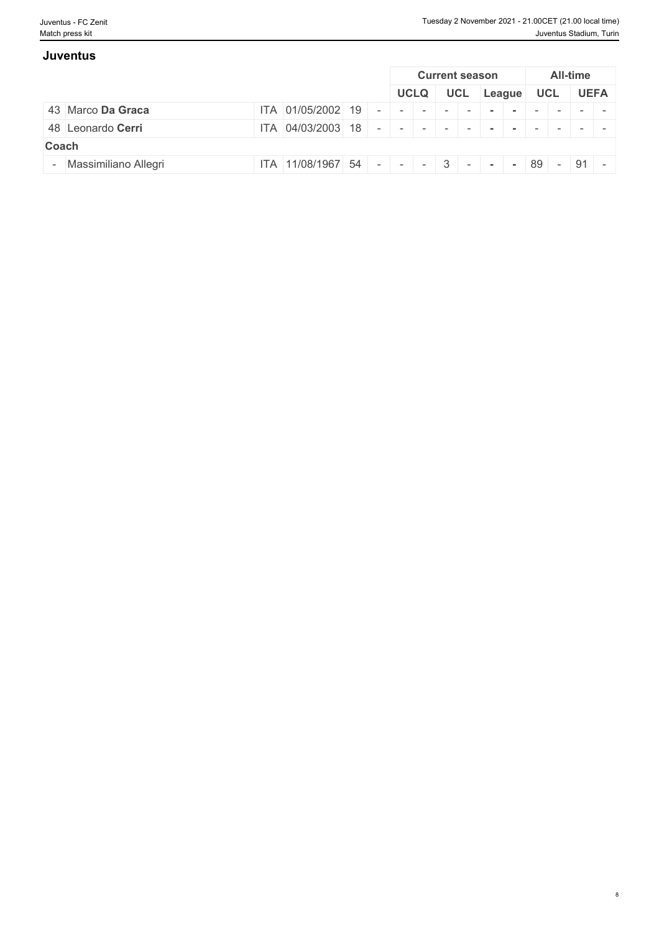8

| <b>Juventus</b>        |                   |  |                                  |     |        |    |     |          |             |
|------------------------|-------------------|--|----------------------------------|-----|--------|----|-----|----------|-------------|
|                        |                   |  | <b>Current season</b>            |     |        |    |     | All-time |             |
|                        |                   |  | <b>UCLQ</b>                      | UCL | League |    | UCL |          | <b>UEFA</b> |
| 43 Marco Da Graca      | ITA 01/05/2002 19 |  |                                  |     |        |    |     |          |             |
| 48 Leonardo Cerri      | ITA 04/03/2003 18 |  |                                  |     |        |    |     |          |             |
| Coach                  |                   |  |                                  |     |        |    |     |          |             |
| - Massimiliano Allegri | ITA 11/08/1967 54 |  | $ 1 -   -   -   3   -   -   -  $ |     |        | 89 |     | $-$ 91 - |             |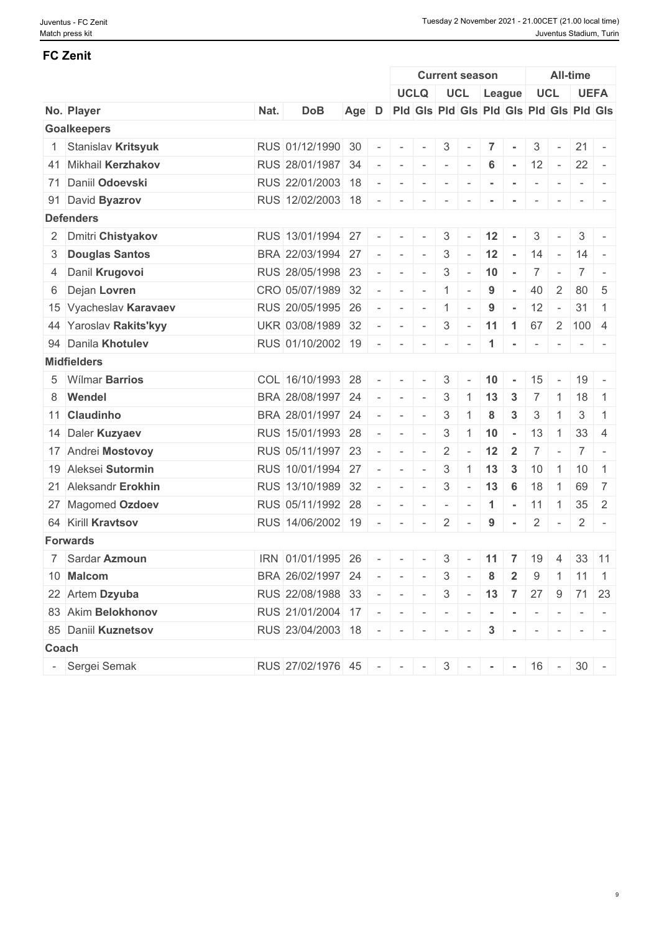### **FC Zenit**

|                        |      |                                                          |                          |                              |                                                                                                                                                                                                                                                                                                                                                                                                                                                                            | <b>Current season</b>    |                             |                |                 |                                          |                          | All-time                  |                                                                                                 |
|------------------------|------|----------------------------------------------------------|--------------------------|------------------------------|----------------------------------------------------------------------------------------------------------------------------------------------------------------------------------------------------------------------------------------------------------------------------------------------------------------------------------------------------------------------------------------------------------------------------------------------------------------------------|--------------------------|-----------------------------|----------------|-----------------|------------------------------------------|--------------------------|---------------------------|-------------------------------------------------------------------------------------------------|
|                        |      |                                                          |                          |                              | <b>UCLQ</b>                                                                                                                                                                                                                                                                                                                                                                                                                                                                |                          | UCL League                  |                |                 |                                          | UCL                      |                           | <b>UEFA</b>                                                                                     |
| No. Player             | Nat. | <b>DoB</b>                                               |                          |                              | Age D Pid Gis Pid Gis Pid Gis Pid Gis Pid Gis                                                                                                                                                                                                                                                                                                                                                                                                                              |                          |                             |                |                 |                                          |                          |                           |                                                                                                 |
| <b>Goalkeepers</b>     |      |                                                          |                          |                              |                                                                                                                                                                                                                                                                                                                                                                                                                                                                            |                          |                             |                |                 |                                          |                          |                           |                                                                                                 |
| 1 Stanislav Kritsyuk   |      | RUS 01/12/1990 30                                        | $\sim$                   |                              |                                                                                                                                                                                                                                                                                                                                                                                                                                                                            | $3 -$                    |                             | 7 <sup>1</sup> | $\sim$          | $\mathcal{S}$                            | $\sim$                   | $21 -$                    |                                                                                                 |
| 41 Mikhail Kerzhakov   |      | RUS 28/01/1987 34                                        | $\overline{\phantom{a}}$ |                              | $ -$                                                                                                                                                                                                                                                                                                                                                                                                                                                                       | $\sim$                   | $\sim$                      | 6              | $\sim$          | 12                                       | $\sim$ $-$               | 22                        | $\overline{a}$                                                                                  |
| 71 Daniil Odoevski     |      | RUS 22/01/2003 18                                        | $\sim$                   | $\sim$                       | $\sim$                                                                                                                                                                                                                                                                                                                                                                                                                                                                     | $\sim$                   | $\overline{\phantom{a}}$    |                |                 |                                          | $\overline{\phantom{a}}$ |                           |                                                                                                 |
| 91 David Byazrov       |      | RUS 12/02/2003 18                                        |                          | the contract of the contract |                                                                                                                                                                                                                                                                                                                                                                                                                                                                            | $\sim$                   | $\sim$                      |                | $\,$ $\,$       | $\overline{\phantom{a}}$                 | $\sim$                   |                           |                                                                                                 |
| <b>Defenders</b>       |      |                                                          |                          |                              |                                                                                                                                                                                                                                                                                                                                                                                                                                                                            |                          |                             |                |                 |                                          |                          |                           |                                                                                                 |
| 2 Dmitri Chistyakov    |      | RUS 13/01/1994 27                                        | $\sim$                   | $\sim$                       | $\mathbf{r}$                                                                                                                                                                                                                                                                                                                                                                                                                                                               | 3                        | $\sim$                      | 12             |                 | 3                                        |                          | 3                         |                                                                                                 |
| 3 Douglas Santos       |      | BRA 22/03/1994 27                                        | $\sim$                   | $\sim$                       | $\sim$                                                                                                                                                                                                                                                                                                                                                                                                                                                                     | 3                        | $\sim$ $-$                  | 12             | $\sim$          | 14                                       | $\sim$                   | $14 -$                    |                                                                                                 |
| 4 Danil Krugovoi       |      | RUS 28/05/1998 23                                        | $\overline{\phantom{a}}$ | $\sim$                       | $\sim$                                                                                                                                                                                                                                                                                                                                                                                                                                                                     | $\mathbf{3}$             | $\sim$                      | 10             | $\sim$          | $\overline{7}$                           | $\sim$                   | 7 <sup>1</sup>            | $\sim$                                                                                          |
| 6 Dejan Lovren         |      | CRO 05/07/1989 32                                        | $\sim$                   | $\sim$                       | $\sim$                                                                                                                                                                                                                                                                                                                                                                                                                                                                     | $\overline{1}$           | $\sim$                      | 9              | $\sim$          | 40                                       | $\overline{2}$           | 80                        | -5                                                                                              |
| 15 Vyacheslav Karavaev |      | RUS 20/05/1995 26                                        | $\sim$                   | $\sim$                       | $\sim$                                                                                                                                                                                                                                                                                                                                                                                                                                                                     | -1                       | $\sim$                      | 9              | $\sim$          | 12                                       | $\sim$                   | 31                        | $\overline{1}$                                                                                  |
| 44 Yaroslav Rakits'kyy |      | UKR 03/08/1989 32                                        |                          | $\sim$                       | $\mathbf{r}$                                                                                                                                                                                                                                                                                                                                                                                                                                                               | $\mathbf{3}$             |                             |                |                 |                                          |                          | $\vert$ - 11 1 67 2 100 4 |                                                                                                 |
| 94 Danila Khotulev     |      | RUS 01/10/2002 19                                        | $\sim$                   | $\sim$                       | $\sim$                                                                                                                                                                                                                                                                                                                                                                                                                                                                     | $\overline{\phantom{a}}$ | $\overline{\phantom{a}}$    | 1              | $\sim$          | $\sim$                                   | $\sim$                   |                           | $\frac{1}{2} \left( \frac{1}{2} \right) = \frac{1}{2} \left( \frac{1}{2} \right) = \frac{1}{2}$ |
| <b>Midfielders</b>     |      |                                                          |                          |                              |                                                                                                                                                                                                                                                                                                                                                                                                                                                                            |                          |                             |                |                 |                                          |                          |                           |                                                                                                 |
| 5 Wilmar Barrios       |      | COL 16/10/1993 28                                        | $\sim$                   | $-1.1 - 1.1 - 1.1$           |                                                                                                                                                                                                                                                                                                                                                                                                                                                                            | $3 -$                    |                             | $10 -$         |                 | $15 -$                                   |                          | $19 -$                    |                                                                                                 |
| 8 Wendel               |      | BRA 28/08/1997 24                                        | $\sim$                   |                              | $\sim$ 100 $-$                                                                                                                                                                                                                                                                                                                                                                                                                                                             |                          | $3 \mid 1 \mid 13$          |                | $\vert 3$       | $\overline{7}$                           |                          | $1 \quad 18$              | -1                                                                                              |
| 11 Claudinho           |      | BRA 28/01/1997 24                                        | $\sim$                   | $\sim$                       | $\sim$                                                                                                                                                                                                                                                                                                                                                                                                                                                                     | 3                        |                             | 8              | 3               | 3                                        |                          | 3                         |                                                                                                 |
| 14 Daler Kuzyaev       |      | RUS 15/01/1993 28                                        | $\sim$                   | $\sim$                       | $\sim$                                                                                                                                                                                                                                                                                                                                                                                                                                                                     | $\mathbf{3}$             | $\overline{1}$              | 10             | $\sim$          | 13                                       | $\overline{1}$           | 33                        | -4                                                                                              |
| 17 Andrei Mostovoy     |      | RUS 05/11/1997 23                                        | $\sim$                   | $\sim$ 100 $\pm$             | $\sim$                                                                                                                                                                                                                                                                                                                                                                                                                                                                     |                          | $2 - 12$                    |                | $\overline{2}$  | $7$ -                                    |                          | $7^{\circ}$               | $\sim$                                                                                          |
| 19 Aleksei Sutormin    |      | RUS 10/01/1994 27                                        | $\overline{\phantom{a}}$ | $\sim$                       | $\sim$                                                                                                                                                                                                                                                                                                                                                                                                                                                                     | $\mathcal{S}$            | $\vert$ 1   13              |                | $\mathbf{3}$    | 10                                       |                          | $1 \quad 10$              | $\overline{1}$                                                                                  |
| 21 Aleksandr Erokhin   |      | RUS 13/10/1989 32                                        | $\sim$                   | $\sim$                       | $\sim$                                                                                                                                                                                                                                                                                                                                                                                                                                                                     | $\mathcal{S}$            | $\vert \cdot \vert = \vert$ | 13             | $6\phantom{1}6$ | 18                                       | $\overline{1}$           | 69                        | 7                                                                                               |
| 27 Magomed Ozdoev      |      | RUS 05/11/1992 28                                        | $\sim$                   |                              | $\frac{1}{2} \left( \frac{1}{2} \right) \left( \frac{1}{2} \right) \left( \frac{1}{2} \right) \left( \frac{1}{2} \right) \left( \frac{1}{2} \right) \left( \frac{1}{2} \right) \left( \frac{1}{2} \right) \left( \frac{1}{2} \right) \left( \frac{1}{2} \right) \left( \frac{1}{2} \right) \left( \frac{1}{2} \right) \left( \frac{1}{2} \right) \left( \frac{1}{2} \right) \left( \frac{1}{2} \right) \left( \frac{1}{2} \right) \left( \frac{1}{2} \right) \left( \frac$ |                          |                             |                |                 | $\vert 1 \vert - \vert 11 \vert 1 \vert$ |                          | $35 \quad 2$              |                                                                                                 |
| 64 Kirill Kravtsov     |      | RUS 14/06/2002 19                                        | $\sim$                   | $\sim$                       | $\sim$                                                                                                                                                                                                                                                                                                                                                                                                                                                                     | $2 \mid$                 | $\sim$ $-$                  | 9              | $\sim$          | $2$ -                                    |                          | $2 \mid$                  | $\sim$                                                                                          |
| <b>Forwards</b>        |      |                                                          |                          |                              |                                                                                                                                                                                                                                                                                                                                                                                                                                                                            |                          |                             |                |                 |                                          |                          |                           |                                                                                                 |
| 7 Sardar Azmoun        |      | $\overline{ORN}$ 01/01/1995 26 - - - 3 - 11 7 19 4 33 11 |                          |                              |                                                                                                                                                                                                                                                                                                                                                                                                                                                                            |                          |                             |                |                 |                                          |                          |                           |                                                                                                 |
| 10 Malcom              |      | BRA 26/02/1997 24 - - - 3 - 8 2 9 1 11 1                 |                          |                              |                                                                                                                                                                                                                                                                                                                                                                                                                                                                            |                          |                             |                |                 |                                          |                          |                           |                                                                                                 |
| 22 Artem Dzyuba        |      | RUS 22/08/1988 33 - - - 3 - 13 7 27 9 71 23              |                          |                              |                                                                                                                                                                                                                                                                                                                                                                                                                                                                            |                          |                             |                |                 |                                          |                          |                           |                                                                                                 |
| 83 Akim Belokhonov     |      | RUS 21/01/2004 17 - - - - - - - - - -                    |                          |                              |                                                                                                                                                                                                                                                                                                                                                                                                                                                                            |                          |                             |                |                 |                                          |                          |                           |                                                                                                 |
| 85 Daniil Kuznetsov    |      | RUS 23/04/2003 18 - - - - - - 3 - - - - -                |                          |                              |                                                                                                                                                                                                                                                                                                                                                                                                                                                                            |                          |                             |                |                 |                                          |                          |                           |                                                                                                 |
| Coach                  |      |                                                          |                          |                              |                                                                                                                                                                                                                                                                                                                                                                                                                                                                            |                          |                             |                |                 |                                          |                          |                           |                                                                                                 |
| - Sergei Semak         |      | RUS 27/02/1976 45 - - - - 3 - - - 16 - 30 -              |                          |                              |                                                                                                                                                                                                                                                                                                                                                                                                                                                                            |                          |                             |                |                 |                                          |                          |                           |                                                                                                 |
|                        |      |                                                          |                          |                              |                                                                                                                                                                                                                                                                                                                                                                                                                                                                            |                          |                             |                |                 |                                          |                          |                           |                                                                                                 |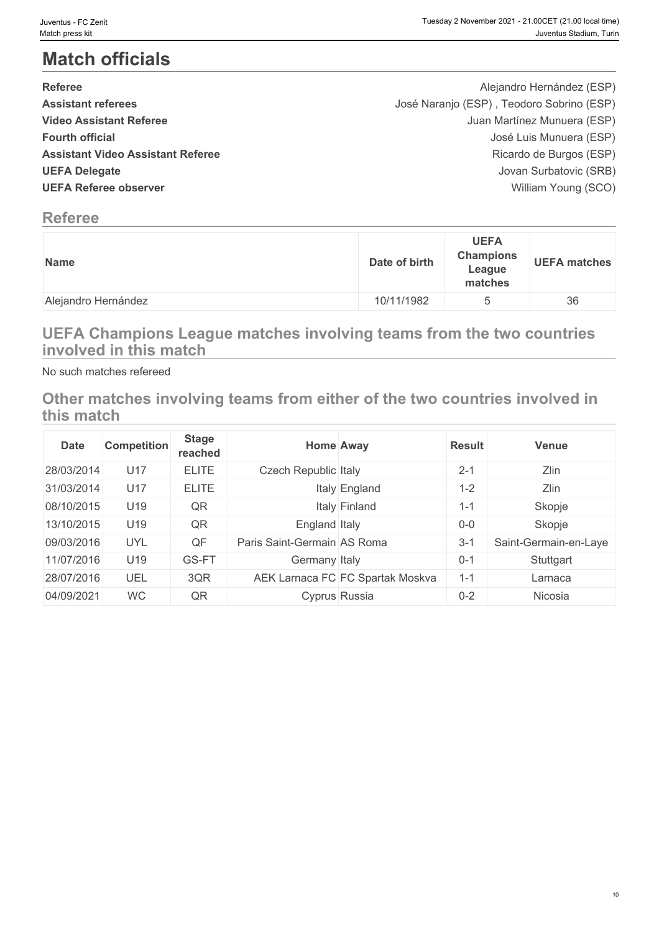# **Match officials**

| <b>Referee</b>                           | Alejandro Hernández (ESP)                 |  |
|------------------------------------------|-------------------------------------------|--|
| <b>Assistant referees</b>                | José Naranjo (ESP), Teodoro Sobrino (ESP) |  |
| <b>Video Assistant Referee</b>           | Juan Martínez Munuera (ESP)               |  |
| <b>Fourth official</b>                   | José Luis Munuera (ESP)                   |  |
| <b>Assistant Video Assistant Referee</b> | Ricardo de Burgos (ESP)                   |  |
| <b>UEFA Delegate</b>                     | Jovan Surbatovic (SRB)                    |  |
| <b>UEFA Referee observer</b>             | William Young (SCO)                       |  |
|                                          |                                           |  |

# **Referee**

| <b>Name</b>         | <b>UEFA</b><br><b>Champions</b><br>Date of birth<br>League<br>matches | <b>UEFA matches</b> |
|---------------------|-----------------------------------------------------------------------|---------------------|
| Alejandro Hernández | 10/11/1982                                                            | $36\,$              |

# **UEFA Champions League matches involving teams from the two countries involved in this match**

No such matches refereed

**Other matches involving teams from either of the two countries involved in this match**

| <b>Date</b> | <b>Competition</b> | <b>Stage</b><br>reached |                             | <b>Home Away</b>                 | <b>Result</b> | <b>Venue</b>          |
|-------------|--------------------|-------------------------|-----------------------------|----------------------------------|---------------|-----------------------|
| 28/03/2014  | U17                | <b>ELITE</b>            | <b>Czech Republic Italy</b> |                                  | $2 - 1$       | Zlin                  |
| 31/03/2014  | U17                | <b>ELITE</b>            |                             | Italy England                    | $1 - 2$       | Zlin                  |
| 08/10/2015  | U19                | QR                      |                             | Italy Finland                    | $1 - 1$       | Skopje                |
| 13/10/2015  | U19                | QR                      | England Italy               |                                  | $0-0$         | Skopje                |
| 09/03/2016  | <b>UYL</b>         | QF                      | Paris Saint-Germain AS Roma |                                  | $3 - 1$       | Saint-Germain-en-Laye |
| 11/07/2016  | U19                | GS-FT                   | Germany Italy               |                                  | $0 - 1$       | Stuttgart             |
| 28/07/2016  | UEL                | 3QR                     |                             | AEK Larnaca FC FC Spartak Moskva | $1 - 1$       | Larnaca               |
| 04/09/2021  | <b>WC</b>          | QR                      |                             | Cyprus Russia                    | $0 - 2$       | Nicosia               |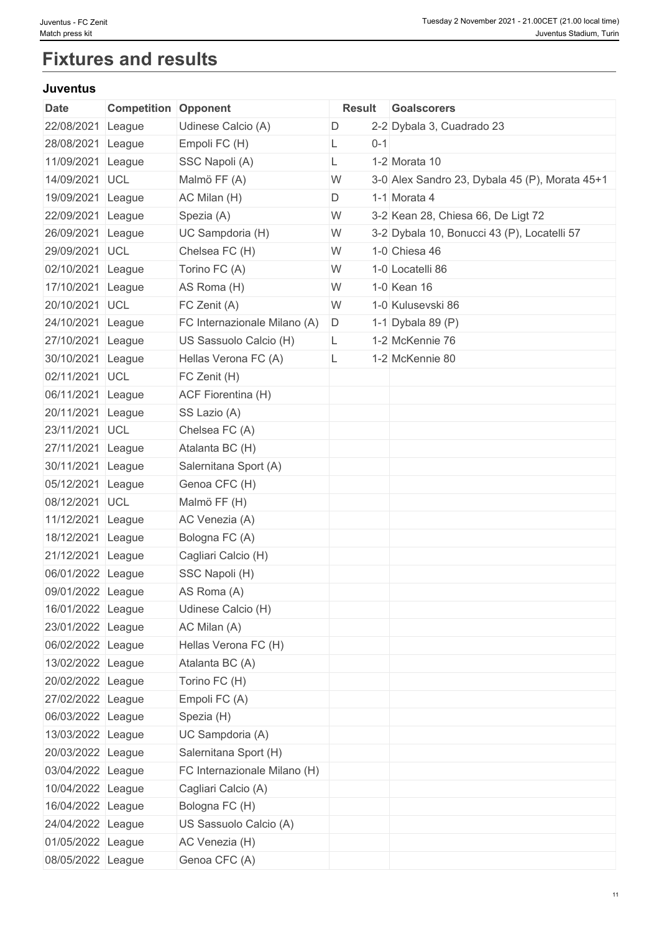# **Fixtures and results**

### **Juventus**

| <b>Date</b>       | <b>Competition Opponent</b> |                              |              | <b>Result Goalscorers</b>                      |
|-------------------|-----------------------------|------------------------------|--------------|------------------------------------------------|
| 22/08/2021 League |                             | Udinese Calcio (A)           | D            | 2-2 Dybala 3, Cuadrado 23                      |
| 28/08/2021 League |                             | Empoli FC (H)                | $0 - 1$<br>L |                                                |
| 11/09/2021 League |                             | SSC Napoli (A)               | L            | 1-2 Morata 10                                  |
| 14/09/2021 UCL    |                             | Malmö FF (A)                 | W            | 3-0 Alex Sandro 23, Dybala 45 (P), Morata 45+1 |
| 19/09/2021 League |                             | AC Milan (H)                 | D            | 1-1 Morata 4                                   |
| 22/09/2021 League |                             | Spezia (A)                   | W            | 3-2 Kean 28, Chiesa 66, De Ligt 72             |
| 26/09/2021 League |                             | UC Sampdoria (H)             | W            | 3-2 Dybala 10, Bonucci 43 (P), Locatelli 57    |
| 29/09/2021 UCL    |                             | Chelsea FC (H)               | W            | 1-0 Chiesa 46                                  |
| 02/10/2021 League |                             | Torino FC (A)                | W            | 1-0 Locatelli 86                               |
| 17/10/2021 League |                             | AS Roma (H)                  | W            | 1-0 Kean 16                                    |
| 20/10/2021 UCL    |                             | FC Zenit (A)                 | W            | 1-0 Kulusevski 86                              |
| 24/10/2021 League |                             | FC Internazionale Milano (A) | D            | 1-1 Dybala 89 $(P)$                            |
| 27/10/2021 League |                             | US Sassuolo Calcio (H)       | L.           | 1-2 McKennie 76                                |
| 30/10/2021 League |                             | Hellas Verona FC (A)         | L            | 1-2 McKennie 80                                |
| 02/11/2021 UCL    |                             | FC Zenit (H)                 |              |                                                |
| 06/11/2021 League |                             | <b>ACF Fiorentina (H)</b>    |              |                                                |
| 20/11/2021 League |                             | SS Lazio (A)                 |              |                                                |
| 23/11/2021 UCL    |                             | Chelsea FC (A)               |              |                                                |
| 27/11/2021 League |                             | Atalanta BC (H)              |              |                                                |
| 30/11/2021 League |                             | Salernitana Sport (A)        |              |                                                |
| 05/12/2021 League |                             | Genoa CFC (H)                |              |                                                |
| 08/12/2021 UCL    |                             | Malmö FF (H)                 |              |                                                |
| 11/12/2021 League |                             | AC Venezia (A)               |              |                                                |
| 18/12/2021 League |                             | Bologna FC (A)               |              |                                                |
| 21/12/2021 League |                             | Cagliari Calcio (H)          |              |                                                |
| 06/01/2022 League |                             | SSC Napoli (H)               |              |                                                |
| 09/01/2022 League |                             | AS Roma (A)                  |              |                                                |
| 16/01/2022 League |                             | Udinese Calcio (H)           |              |                                                |
| 23/01/2022 League |                             | AC Milan (A)                 |              |                                                |
| 06/02/2022 League |                             | Hellas Verona FC (H)         |              |                                                |
| 13/02/2022 League |                             | Atalanta BC (A)              |              |                                                |
| 20/02/2022 League |                             | Torino FC (H)                |              |                                                |
| 27/02/2022 League |                             | Empoli FC (A)                |              |                                                |
| 06/03/2022 League |                             | Spezia (H)                   |              |                                                |
| 13/03/2022 League |                             | UC Sampdoria (A)             |              |                                                |
| 20/03/2022 League |                             | Salernitana Sport (H)        |              |                                                |
| 03/04/2022 League |                             | FC Internazionale Milano (H) |              |                                                |
| 10/04/2022 League |                             | Cagliari Calcio (A)          |              |                                                |
| 16/04/2022 League |                             | Bologna FC (H)               |              |                                                |
| 24/04/2022 League |                             | US Sassuolo Calcio (A)       |              |                                                |
| 01/05/2022 League |                             | AC Venezia (H)               |              |                                                |
| 08/05/2022 League |                             | Genoa CFC (A)                |              |                                                |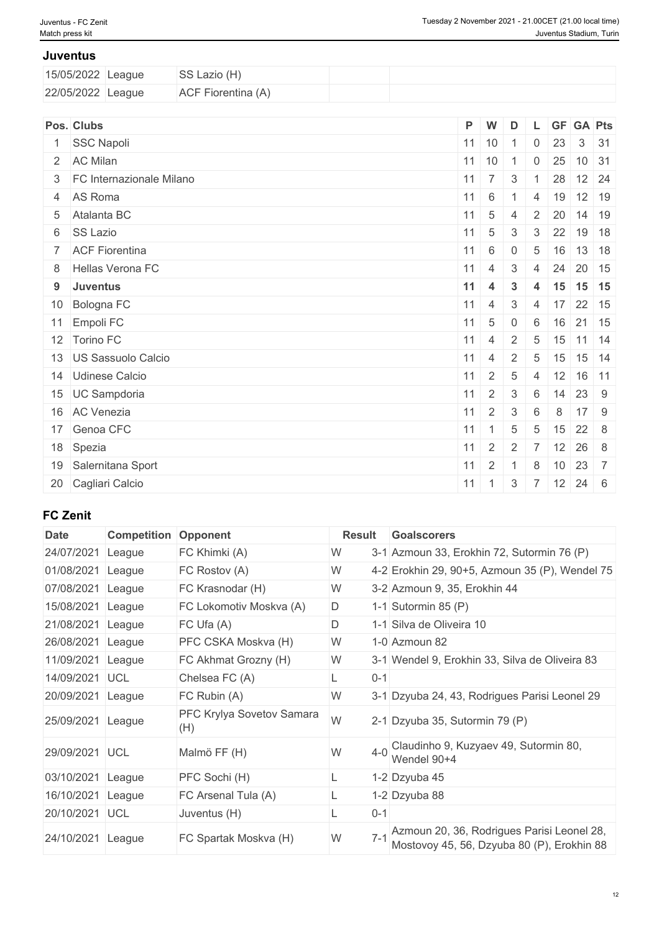#### **Juventus**

| 15/05/2022 League | SS Lazio (H)              |  |
|-------------------|---------------------------|--|
| 22/05/2022 League | <b>ACF Fiorentina (A)</b> |  |

| Pos. Clubs                 | $P$ W            |                    | D              |                 |    | L GF GA Pts                                      |  |
|----------------------------|------------------|--------------------|----------------|-----------------|----|--------------------------------------------------|--|
| 1 SSC Napoli               |                  |                    | $11$ 10 1      | $\overline{0}$  | 23 | $3 \mid 31$                                      |  |
| 2 AC Milan                 |                  |                    | $11$ 10 1 0    |                 |    | $25$ 10 31                                       |  |
| 3 FC Internazionale Milano | $11 \mid 7 \mid$ |                    | $\mathbf{3}$   |                 | 28 | $12 \overline{\smash{\big)}\ 24}$                |  |
| 4 AS Roma                  | $11 \quad 6$     |                    | $-1$           |                 |    | 4 19 12 19                                       |  |
| 5 Atalanta BC              | $11 \quad 5$     |                    | $\overline{4}$ | 2 <sup>1</sup>  |    | $20$ 14 19                                       |  |
| 6 SS Lazio                 |                  | $11 \mid 5 \mid 3$ |                | 3 <sup>1</sup>  |    | 22 19 18                                         |  |
| 7 ACF Fiorentina           | 11               | 6                  | $\overline{0}$ | $5\phantom{.0}$ | 16 | $13 \quad 18$                                    |  |
| 8 Hellas Verona FC         | $11 \mid 4$      |                    | 3              | 4               |    | 24 20 15                                         |  |
| 9 Juventus                 | 11               | $\overline{4}$     | $\mathbf{3}$   |                 |    | 4 15 15 15                                       |  |
| 10 Bologna FC              |                  | $11 \mid 4 \mid$   | 3 <sup>1</sup> |                 |    | $4 \mid 17 \mid 22 \mid 15$                      |  |
| 11 Empoli FC               |                  | $11 \quad 5$       | $\overline{0}$ |                 |    | 6 16 21 15                                       |  |
| 12 Torino FC               | $11 \quad 4$     |                    | 2              | 5               |    | $15$ 11 14                                       |  |
| 13 US Sassuolo Calcio      | $11 \mid 4$      |                    | $\overline{2}$ |                 |    | $5 \mid 15 \mid 15 \mid 14$                      |  |
| 14 Udinese Calcio          | 11               | 2 <sup>1</sup>     | 5              | $\overline{4}$  |    | $12$ 16 11                                       |  |
| 15 UC Sampdoria            |                  | $11 \mid 2 \mid 3$ |                |                 |    | $6 \mid 14 \mid 23 \mid 9$                       |  |
| 16 AC Venezia              | 11               | $\pm$ 2 $^+$       | $\mathbf{3}$   | 6               | 8  | $17 \quad 9$                                     |  |
| 17 Genoa CFC               |                  | $11 \mid 1 \mid$   | 5              | 5               |    | $15 \mid 22 \mid 8$                              |  |
| 18 Spezia                  | 11               | 2                  | 2              | $\overline{7}$  |    | $12 \mid 26 \mid 8$                              |  |
| 19 Salernitana Sport       |                  | $11 \quad 2$       |                | 8               |    | $10 \ 23 \ 7$                                    |  |
| 20 Cagliari Calcio         |                  |                    |                |                 |    | $11 \mid 1 \mid 3 \mid 7 \mid 12 \mid 24 \mid 6$ |  |

### **FC Zenit**

| <b>Date</b> | <b>Competition</b> | Opponent                         | <b>Result</b> | <b>Goalscorers</b>                                                                       |
|-------------|--------------------|----------------------------------|---------------|------------------------------------------------------------------------------------------|
| 24/07/2021  | League             | FC Khimki (A)                    | W             | 3-1 Azmoun 33, Erokhin 72, Sutormin 76 (P)                                               |
| 01/08/2021  | League             | FC Rostov (A)                    | W             | 4-2 Erokhin 29, 90+5, Azmoun 35 (P), Wendel 75                                           |
| 07/08/2021  | League             | FC Krasnodar (H)                 | W             | 3-2 Azmoun 9, 35, Erokhin 44                                                             |
| 15/08/2021  | League             | FC Lokomotiv Moskva (A)          | D             | 1-1 Sutormin 85 $(P)$                                                                    |
| 21/08/2021  | League             | FC Ufa(A)                        | D             | 1-1 Silva de Oliveira 10                                                                 |
| 26/08/2021  | League             | PFC CSKA Moskva (H)              | W             | 1-0 Azmoun 82                                                                            |
| 11/09/2021  | League             | FC Akhmat Grozny (H)             | W             | 3-1 Wendel 9, Erokhin 33, Silva de Oliveira 83                                           |
| 14/09/2021  | <b>UCL</b>         | Chelsea FC (A)                   | $0 - 1$<br>Ц. |                                                                                          |
| 20/09/2021  | League             | FC Rubin (A)                     | W             | 3-1 Dzyuba 24, 43, Rodrigues Parisi Leonel 29                                            |
| 25/09/2021  | League             | PFC Krylya Sovetov Samara<br>(H) | W             | 2-1 Dzyuba 35, Sutormin 79 (P)                                                           |
| 29/09/2021  | <b>UCL</b>         | Malmö FF (H)                     | W<br>$4-0$    | Claudinho 9, Kuzyaev 49, Sutormin 80,<br>Wendel 90+4                                     |
| 03/10/2021  | League             | PFC Sochi (H)                    |               | 1-2 Dzyuba 45                                                                            |
| 16/10/2021  | League             | FC Arsenal Tula (A)              |               | 1-2 Dzyuba 88                                                                            |
| 20/10/2021  | UCL                | Juventus (H)                     | $0 - 1$       |                                                                                          |
| 24/10/2021  | League             | FC Spartak Moskva (H)            | $7 - 1$<br>W  | Azmoun 20, 36, Rodrigues Parisi Leonel 28,<br>Mostovoy 45, 56, Dzyuba 80 (P), Erokhin 88 |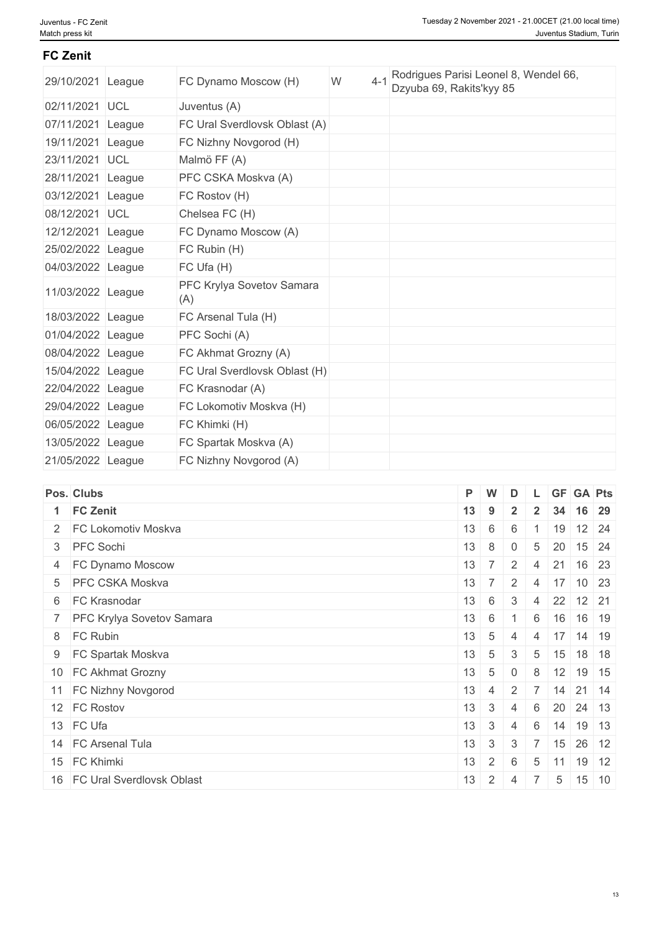#### **FC Zenit**

| 29/10/2021        | League | FC Dynamo Moscow (H)             | W | $4 - 1$ | Rodrigues Parisi Leonel 8, Wendel 66,<br>Dzyuba 69, Rakits'kyy 85 |
|-------------------|--------|----------------------------------|---|---------|-------------------------------------------------------------------|
| 02/11/2021 UCL    |        | Juventus (A)                     |   |         |                                                                   |
| 07/11/2021 League |        | FC Ural Sverdlovsk Oblast (A)    |   |         |                                                                   |
| 19/11/2021 League |        | FC Nizhny Novgorod (H)           |   |         |                                                                   |
| 23/11/2021 UCL    |        | Malmö FF (A)                     |   |         |                                                                   |
| 28/11/2021 League |        | PFC CSKA Moskva (A)              |   |         |                                                                   |
| 03/12/2021 League |        | FC Rostov (H)                    |   |         |                                                                   |
| 08/12/2021 UCL    |        | Chelsea FC (H)                   |   |         |                                                                   |
| 12/12/2021 League |        | FC Dynamo Moscow (A)             |   |         |                                                                   |
| 25/02/2022 League |        | FC Rubin (H)                     |   |         |                                                                   |
| 04/03/2022 League |        | FC Ufa (H)                       |   |         |                                                                   |
| 11/03/2022 League |        | PFC Krylya Sovetov Samara<br>(A) |   |         |                                                                   |
| 18/03/2022 League |        | FC Arsenal Tula (H)              |   |         |                                                                   |
| 01/04/2022 League |        | PFC Sochi (A)                    |   |         |                                                                   |
| 08/04/2022 League |        | FC Akhmat Grozny (A)             |   |         |                                                                   |
| 15/04/2022 League |        | FC Ural Sverdlovsk Oblast (H)    |   |         |                                                                   |
| 22/04/2022 League |        | FC Krasnodar (A)                 |   |         |                                                                   |
| 29/04/2022 League |        | FC Lokomotiv Moskva (H)          |   |         |                                                                   |
| 06/05/2022 League |        | FC Khimki (H)                    |   |         |                                                                   |
| 13/05/2022 League |        | FC Spartak Moskva (A)            |   |         |                                                                   |
| 21/05/2022 League |        | FC Nizhny Novgorod (A)           |   |         |                                                                   |

| Pos. Clubs                   | P. | $\mathsf{W}$    | D              |                 |    | L GF GA Pts                               |  |
|------------------------------|----|-----------------|----------------|-----------------|----|-------------------------------------------|--|
| 1 FC Zenit                   | 13 | 9               | $\overline{2}$ | $2^{\circ}$     |    | 34 16 29                                  |  |
| 2 FC Lokomotiv Moskva        | 13 | 6               | 6              |                 |    | $19$ 12 24                                |  |
| 3 PFC Sochi                  | 13 | 8               | $\overline{0}$ | 5               | 20 | 15 24                                     |  |
| 4 FC Dynamo Moscow           | 13 | $7^{\circ}$     | 2 <sup>1</sup> | $\overline{4}$  | 21 | $16 \overline{\smash{\big)}\ 23}$         |  |
| 5 PFC CSKA Moskva            | 13 |                 |                |                 |    | $7 \mid 2 \mid 4 \mid 17 \mid 10 \mid 23$ |  |
| 6 FC Krasnodar               | 13 | 6               | 3              |                 |    | 4 22 12 21                                |  |
| 7 PFC Krylya Sovetov Samara  |    | $13 \mid 6$     |                | 6               |    | 16 16 19                                  |  |
| 8 FC Rubin                   | 13 | 5               | 4              | $\overline{4}$  |    | $17$ 14 19                                |  |
| 9 FC Spartak Moskva          | 13 | 5               | 3              | 5               |    | $15$ 18 18                                |  |
| 10 FC Akhmat Grozny          | 13 | $5\overline{)}$ | $\overline{0}$ | 8               |    | $12$ 19 15                                |  |
| 11 FC Nizhny Novgorod        | 13 | 4               |                |                 |    | $2 \mid 7 \mid 14 \mid 21 \mid 14$        |  |
| 12 FC Rostov                 | 13 | $\mathbf{3}$    | $\overline{4}$ | 6               |    | 20 24 13                                  |  |
| 13 FC Ufa                    | 13 | 3               | $\overline{4}$ | 6               |    | $14$ 19 13                                |  |
| 14 FC Arsenal Tula           | 13 | $\mathbf{3}$    | 3              |                 | 15 | $26 \mid 12$                              |  |
| 15 FC Khimki                 | 13 | 2 <sup>1</sup>  | 6              | 5               |    | $11$ 19 12                                |  |
| 16 FC Ural Sverdlovsk Oblast | 13 |                 | $2 \mid 4$     | $\top$ 7 $\top$ |    | $5 \mid 15 \mid 10$                       |  |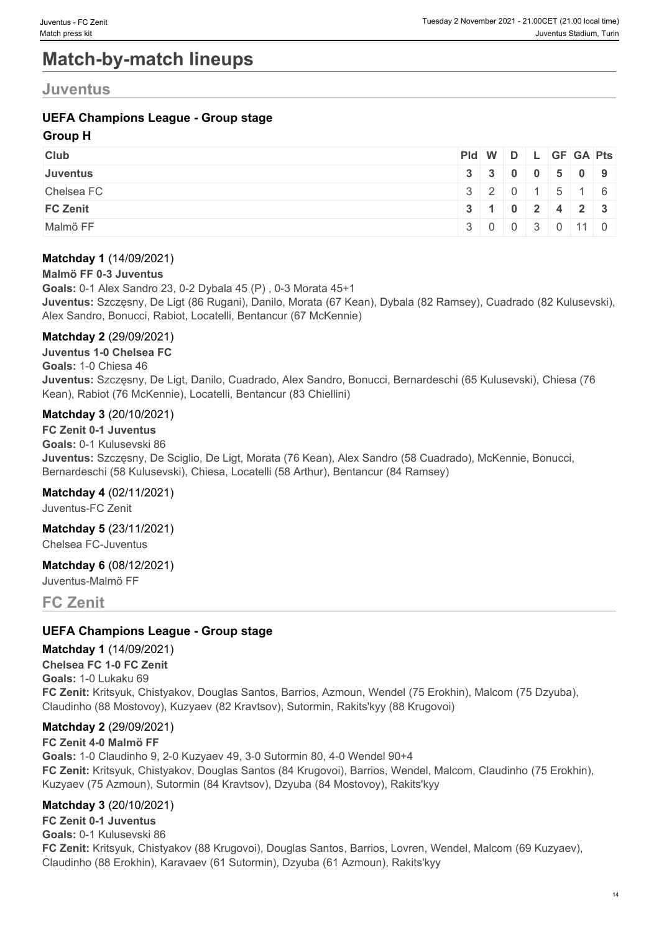# **Match-by-match lineups**

### **Juventus**

### **UEFA Champions League - Group stage**

#### **Group H**

| <b>Club</b>     | $PId \mid W \mid D \mid L \mid GF \mid GA \mid Pts \mid$ |                                                    |  |  |  |
|-----------------|----------------------------------------------------------|----------------------------------------------------|--|--|--|
| <b>Juventus</b> |                                                          | $3 \mid 3 \mid 0 \mid 0 \mid 5 \mid 0 \mid 9 \mid$ |  |  |  |
| Chelsea FC      |                                                          | 320115116                                          |  |  |  |
| <b>FC Zenit</b> |                                                          | $3 \mid 1 \mid 0 \mid 2 \mid 4 \mid 2 \mid 3 \mid$ |  |  |  |
| Malmö FF        |                                                          | 3 0 0 3 0 11 0                                     |  |  |  |

#### **Matchday 1** (14/09/2021)

#### **Malmö FF 0-3 Juventus**

**Goals:** 0-1 Alex Sandro 23, 0-2 Dybala 45 (P) , 0-3 Morata 45+1 **Juventus:** Szczęsny, De Ligt (86 Rugani), Danilo, Morata (67 Kean), Dybala (82 Ramsey), Cuadrado (82 Kulusevski), Alex Sandro, Bonucci, Rabiot, Locatelli, Bentancur (67 McKennie)

#### **Matchday 2** (29/09/2021)

**Juventus 1-0 Chelsea FC**

#### **Goals:** 1-0 Chiesa 46

**Juventus:** Szczęsny, De Ligt, Danilo, Cuadrado, Alex Sandro, Bonucci, Bernardeschi (65 Kulusevski), Chiesa (76 Kean), Rabiot (76 McKennie), Locatelli, Bentancur (83 Chiellini)

#### **Matchday 3** (20/10/2021)

**FC Zenit 0-1 Juventus Goals:** 0-1 Kulusevski 86 **Juventus:** Szczęsny, De Sciglio, De Ligt, Morata (76 Kean), Alex Sandro (58 Cuadrado), McKennie, Bonucci, Bernardeschi (58 Kulusevski), Chiesa, Locatelli (58 Arthur), Bentancur (84 Ramsey)

#### **Matchday 4** (02/11/2021)

Juventus-FC Zenit

#### **Matchday 5** (23/11/2021)

Chelsea FC-Juventus

#### **Matchday 6** (08/12/2021)

Juventus-Malmö FF

#### **FC Zenit**

#### **UEFA Champions League - Group stage**

#### **Matchday 1** (14/09/2021)

**Chelsea FC 1-0 FC Zenit Goals:** 1-0 Lukaku 69 **FC Zenit:** Kritsyuk, Chistyakov, Douglas Santos, Barrios, Azmoun, Wendel (75 Erokhin), Malcom (75 Dzyuba), Claudinho (88 Mostovoy), Kuzyaev (82 Kravtsov), Sutormin, Rakits'kyy (88 Krugovoi)

#### **Matchday 2** (29/09/2021)

#### **FC Zenit 4-0 Malmö FF Goals:** 1-0 Claudinho 9, 2-0 Kuzyaev 49, 3-0 Sutormin 80, 4-0 Wendel 90+4 **FC Zenit:** Kritsyuk, Chistyakov, Douglas Santos (84 Krugovoi), Barrios, Wendel, Malcom, Claudinho (75 Erokhin), Kuzyaev (75 Azmoun), Sutormin (84 Kravtsov), Dzyuba (84 Mostovoy), Rakits'kyy

#### **Matchday 3** (20/10/2021)

**FC Zenit 0-1 Juventus Goals:** 0-1 Kulusevski 86 **FC Zenit:** Kritsyuk, Chistyakov (88 Krugovoi), Douglas Santos, Barrios, Lovren, Wendel, Malcom (69 Kuzyaev), Claudinho (88 Erokhin), Karavaev (61 Sutormin), Dzyuba (61 Azmoun), Rakits'kyy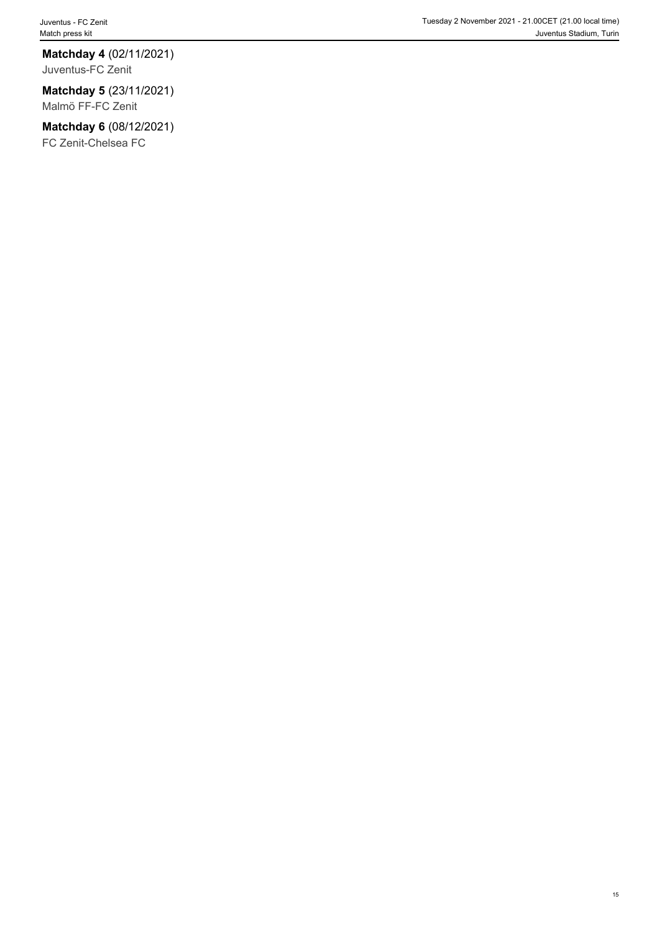# **Matchday 4** (02/11/2021)

Juventus-FC Zenit

### **Matchday 5** (23/11/2021)

Malmö FF-FC Zenit

### **Matchday 6** (08/12/2021)

FC Zenit-Chelsea FC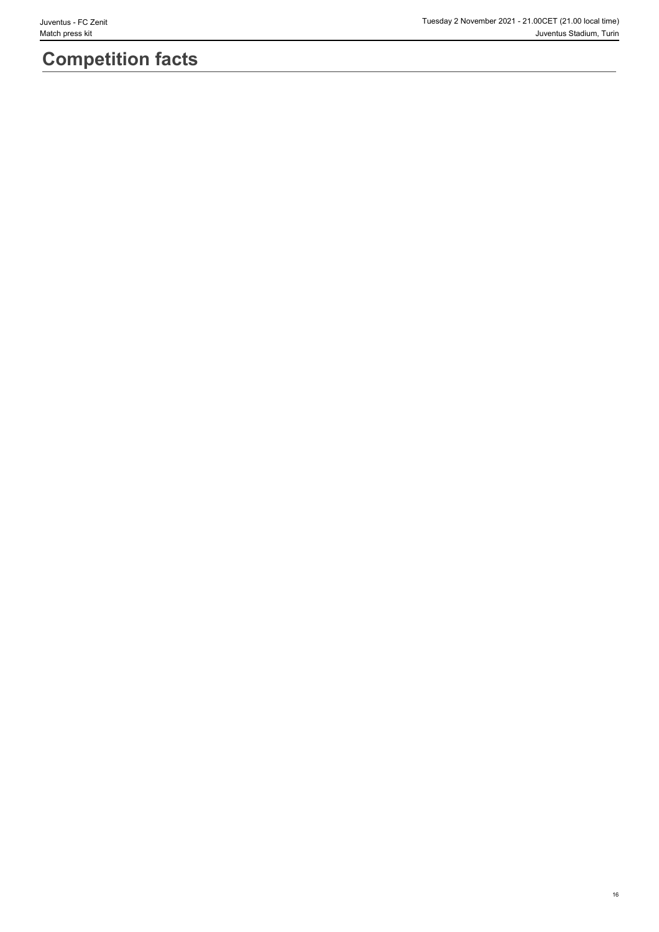# **Competition facts**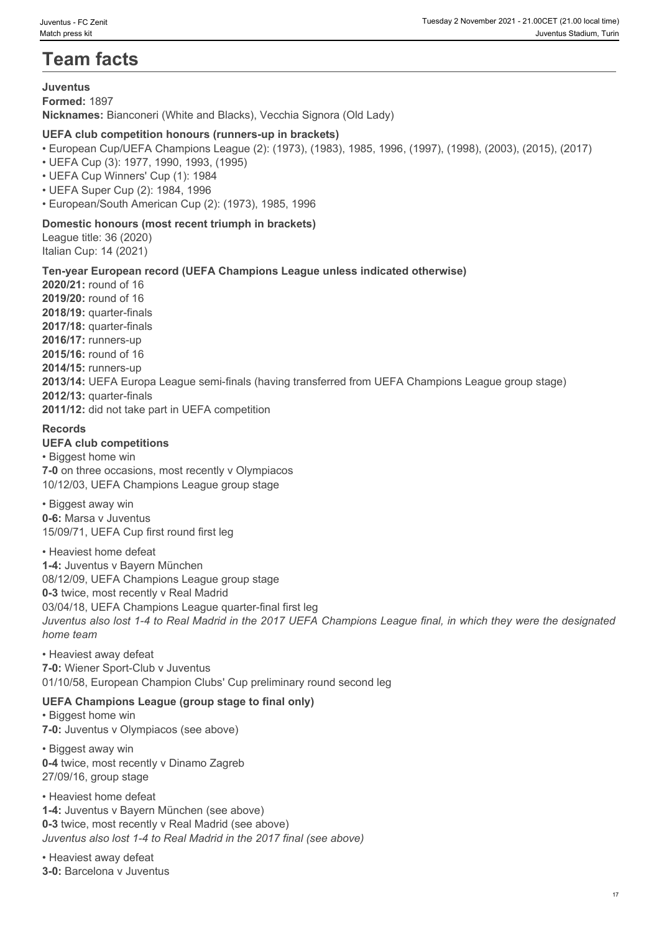# **Team facts**

#### **Juventus**

**Formed:** 1897

**Nicknames:** Bianconeri (White and Blacks), Vecchia Signora (Old Lady)

#### **UEFA club competition honours (runners-up in brackets)**

- European Cup/UEFA Champions League (2): (1973), (1983), 1985, 1996, (1997), (1998), (2003), (2015), (2017)
- UEFA Cup (3): 1977, 1990, 1993, (1995)
- UEFA Cup Winners' Cup (1): 1984
- UEFA Super Cup (2): 1984, 1996
- European/South American Cup (2): (1973), 1985, 1996

#### **Domestic honours (most recent triumph in brackets)**

League title: 36 (2020) Italian Cup: 14 (2021)

#### **Ten-year European record (UEFA Champions League unless indicated otherwise)**

**2020/21:** round of 16 **2019/20:** round of 16 **2018/19:** quarter-finals **2017/18:** quarter-finals **2016/17:** runners-up **2015/16:** round of 16 **2014/15:** runners-up **2013/14:** UEFA Europa League semi-finals (having transferred from UEFA Champions League group stage) **2012/13:** quarter-finals **2011/12:** did not take part in UEFA competition

#### **Records**

#### **UEFA club competitions**

• Biggest home win **7-0** on three occasions, most recently v Olympiacos 10/12/03, UEFA Champions League group stage

• Biggest away win **0-6:** Marsa v Juventus 15/09/71, UEFA Cup first round first leg

• Heaviest home defeat **1-4:** Juventus v Bayern München 08/12/09, UEFA Champions League group stage **0-3** twice, most recently v Real Madrid 03/04/18, UEFA Champions League quarter-final first leg *Juventus also lost 1-4 to Real Madrid in the 2017 UEFA Champions League final, in which they were the designated home team*

• Heaviest away defeat **7-0:** Wiener Sport-Club v Juventus 01/10/58, European Champion Clubs' Cup preliminary round second leg

#### **UEFA Champions League (group stage to final only)**

• Biggest home win **7-0:** Juventus v Olympiacos (see above)

• Biggest away win **0-4** twice, most recently v Dinamo Zagreb 27/09/16, group stage

• Heaviest home defeat

**1-4:** Juventus v Bayern München (see above) **0-3** twice, most recently v Real Madrid (see above) *Juventus also lost 1-4 to Real Madrid in the 2017 final (see above)*

• Heaviest away defeat

**3-0:** Barcelona v Juventus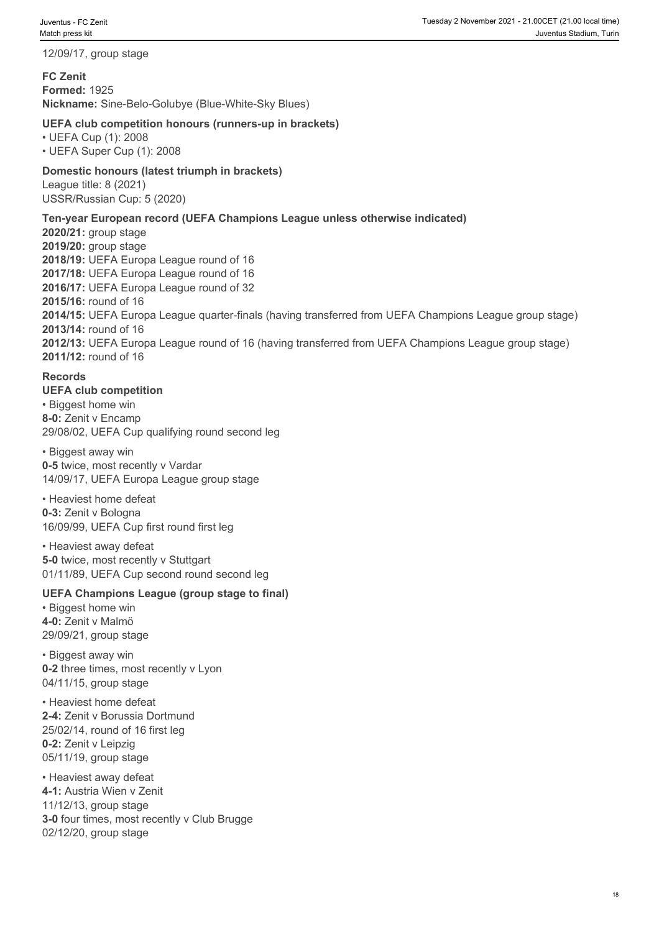12/09/17, group stage

**FC Zenit Formed:** 1925 **Nickname:** Sine-Belo-Golubye (Blue-White-Sky Blues)

#### **UEFA club competition honours (runners-up in brackets)**

• UEFA Cup (1): 2008 • UEFA Super Cup (1): 2008

#### **Domestic honours (latest triumph in brackets)** League title: 8 (2021) USSR/Russian Cup: 5 (2020)

#### **Ten-year European record (UEFA Champions League unless otherwise indicated)**

**2020/21:** group stage **2019/20:** group stage **2018/19:** UEFA Europa League round of 16 **2017/18:** UEFA Europa League round of 16 **2016/17:** UEFA Europa League round of 32 **2015/16:** round of 16 **2014/15:** UEFA Europa League quarter-finals (having transferred from UEFA Champions League group stage) **2013/14:** round of 16 **2012/13:** UEFA Europa League round of 16 (having transferred from UEFA Champions League group stage) **2011/12:** round of 16

#### **Records**

**UEFA club competition** • Biggest home win **8-0:** Zenit v Encamp 29/08/02, UEFA Cup qualifying round second leg

• Biggest away win **0-5** twice, most recently v Vardar 14/09/17, UEFA Europa League group stage

• Heaviest home defeat **0-3:** Zenit v Bologna 16/09/99, UEFA Cup first round first leg

• Heaviest away defeat **5-0 twice, most recently v Stuttgart** 01/11/89, UEFA Cup second round second leg

#### **UEFA Champions League (group stage to final)**

• Biggest home win **4-0:** Zenit v Malmö 29/09/21, group stage

• Biggest away win **0-2** three times, most recently v Lyon 04/11/15, group stage

• Heaviest home defeat **2-4:** Zenit v Borussia Dortmund 25/02/14, round of 16 first leg **0-2:** Zenit v Leipzig 05/11/19, group stage

• Heaviest away defeat **4-1:** Austria Wien v Zenit 11/12/13, group stage **3-0** four times, most recently v Club Brugge 02/12/20, group stage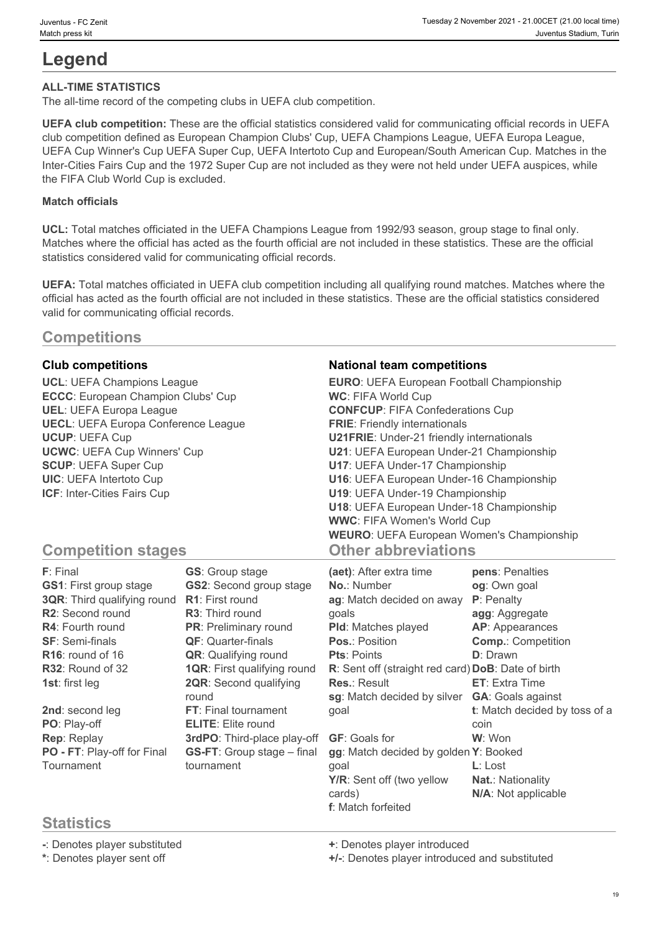# **Legend**

#### **ALL-TIME STATISTICS**

The all-time record of the competing clubs in UEFA club competition.

**UEFA club competition:** These are the official statistics considered valid for communicating official records in UEFA club competition defined as European Champion Clubs' Cup, UEFA Champions League, UEFA Europa League, UEFA Cup Winner's Cup UEFA Super Cup, UEFA Intertoto Cup and European/South American Cup. Matches in the Inter-Cities Fairs Cup and the 1972 Super Cup are not included as they were not held under UEFA auspices, while the FIFA Club World Cup is excluded.

#### **Match officials**

**UCL:** Total matches officiated in the UEFA Champions League from 1992/93 season, group stage to final only. Matches where the official has acted as the fourth official are not included in these statistics. These are the official statistics considered valid for communicating official records.

**UEFA:** Total matches officiated in UEFA club competition including all qualifying round matches. Matches where the official has acted as the fourth official are not included in these statistics. These are the official statistics considered valid for communicating official records.

### **Competitions**

**ECCC**: European Champion Clubs' Cup **UECL**: UEFA Europa Conference League

#### **Club competitions National team competitions**

**UCL**: UEFA Champions League **EURO**: UEFA European Football Championship **UEL**: UEFA Europa League **CONFCUP**: FIFA Confederations Cup **UCUP**: UEFA Cup **U21FRIE**: Under-21 friendly internationals **UCWC**: UEFA Cup Winners' Cup **U21**: UEFA European Under-21 Championship **SCUP**: UEFA Super Cup **U17**: UEFA Under-17 Championship **UIC**: UEFA Intertoto Cup **U16**: UEFA European Under-16 Championship **ICF**: Inter-Cities Fairs Cup **U19**: UEFA Under-19 Championship **WC**: FIFA World Cup **FRIE**: Friendly internationals **U18**: UEFA European Under-18 Championship **WWC**: FIFA Women's World Cup **WEURO**: UEFA European Women's Championship **Other abbreviations**

# **Competition stages**

| F: Final                      | <b>GS:</b> Group stage             | (aet): After extra time                            | pens: Penalties               |
|-------------------------------|------------------------------------|----------------------------------------------------|-------------------------------|
| <b>GS1: First group stage</b> | <b>GS2:</b> Second group stage     | <b>No.: Number</b>                                 | og: Own goal                  |
| 3QR: Third qualifying round   | <b>R1:</b> First round             | ag: Match decided on away                          | P: Penalty                    |
| R2: Second round              | <b>R3:</b> Third round             | qoals                                              | agg: Aggregate                |
| <b>R4: Fourth round</b>       | PR: Preliminary round              | <b>PId:</b> Matches played                         | <b>AP:</b> Appearances        |
| <b>SF: Semi-finals</b>        | <b>QF:</b> Quarter-finals          | <b>Pos.: Position</b>                              | <b>Comp.: Competition</b>     |
| R <sub>16</sub> : round of 16 | <b>QR:</b> Qualifying round        | <b>Pts: Points</b>                                 | <b>D</b> : Drawn              |
| R32: Round of 32              | <b>1QR:</b> First qualifying round | R: Sent off (straight red card) DoB: Date of birth |                               |
| 1st: first leg                | <b>2QR:</b> Second qualifying      | <b>Res.: Result</b>                                | <b>ET:</b> Extra Time         |
|                               | round                              | sg: Match decided by silver                        | <b>GA: Goals against</b>      |
| 2nd: second leg               | FT: Final tournament               | goal                                               | t: Match decided by toss of a |
| PO: Play-off                  | <b>ELITE:</b> Elite round          |                                                    | coin                          |
| Rep: Replay                   | 3rdPO: Third-place play-off        | <b>GF: Goals for</b>                               | W: Won                        |
| PO - FT: Play-off for Final   | <b>GS-FT:</b> Group stage - final  | gg: Match decided by golden Y: Booked              |                               |
| Tournament                    | tournament                         | qoal                                               | $L:$ Lost                     |
|                               |                                    | Y/R: Sent off (two yellow                          | <b>Nat.: Nationality</b>      |
|                               |                                    | cards)                                             | N/A: Not applicable           |
|                               |                                    | <b>f</b> : Match forfeited                         |                               |

# **Statistics**

**-**: Denotes player substituted **+**: Denotes player introduced

**\***: Denotes player sent off **+/-**: Denotes player introduced and substituted